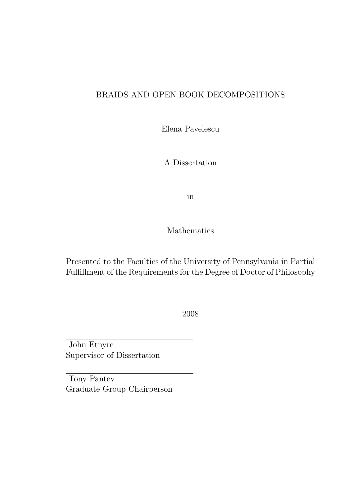#### BRAIDS AND OPEN BOOK DECOMPOSITIONS

Elena Pavelescu

A Dissertation

in

Mathematics

Presented to the Faculties of the University of Pennsylvania in Partial Fulfillment of the Requirements for the Degree of Doctor of Philosophy

2008

John Etnyre Supervisor of Dissertation

Tony Pantev Graduate Group Chairperson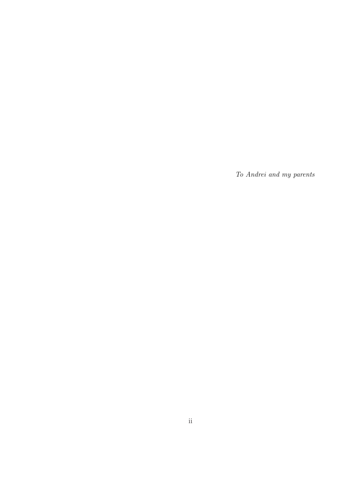To Andrei and my parents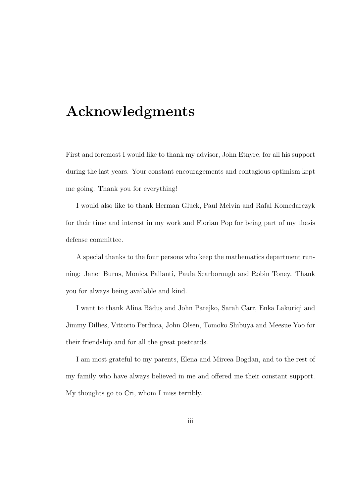## Acknowledgments

First and foremost I would like to thank my advisor, John Etnyre, for all his support during the last years. Your constant encouragements and contagious optimism kept me going. Thank you for everything!

I would also like to thank Herman Gluck, Paul Melvin and Rafal Komedarczyk for their time and interest in my work and Florian Pop for being part of my thesis defense committee.

A special thanks to the four persons who keep the mathematics department running: Janet Burns, Monica Pallanti, Paula Scarborough and Robin Toney. Thank you for always being available and kind.

I want to thank Alina Bǎdus and John Parejko, Sarah Carr, Enka Lakuriqi and Jimmy Dillies, Vittorio Perduca, John Olsen, Tomoko Shibuya and Meesue Yoo for their friendship and for all the great postcards.

I am most grateful to my parents, Elena and Mircea Bogdan, and to the rest of my family who have always believed in me and offered me their constant support. My thoughts go to Cri, whom I miss terribly.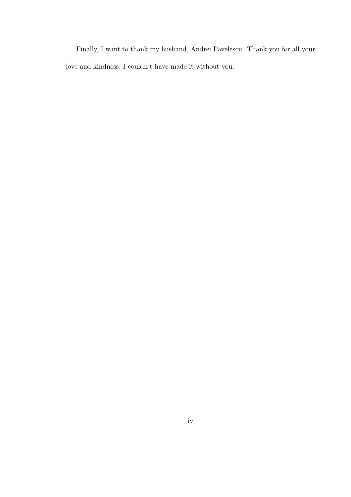Finally, I want to thank my husband, Andrei Pavelescu. Thank you for all your love and kindness, I couldn't have made it without you.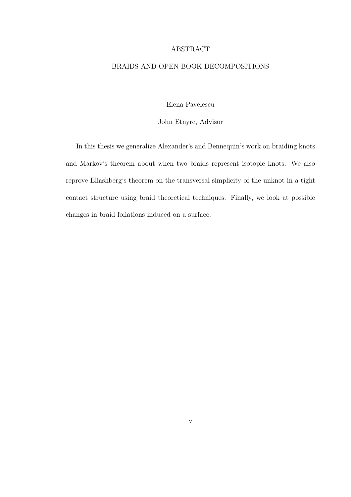#### ABSTRACT

#### BRAIDS AND OPEN BOOK DECOMPOSITIONS

Elena Pavelescu

John Etnyre, Advisor

In this thesis we generalize Alexander's and Bennequin's work on braiding knots and Markov's theorem about when two braids represent isotopic knots. We also reprove Eliashberg's theorem on the transversal simplicity of the unknot in a tight contact structure using braid theoretical techniques. Finally, we look at possible changes in braid foliations induced on a surface.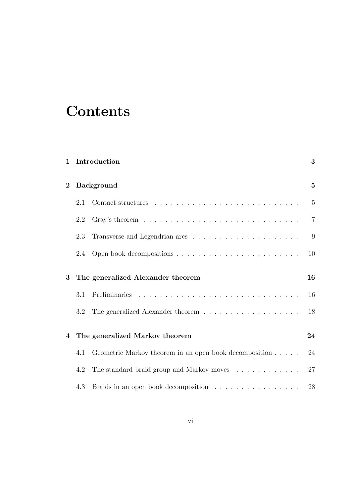## **Contents**

|              |                                   | 1 Introduction                                                                                      | 3              |
|--------------|-----------------------------------|-----------------------------------------------------------------------------------------------------|----------------|
| $\mathbf{2}$ | <b>Background</b>                 |                                                                                                     | $\overline{5}$ |
|              | 2.1                               |                                                                                                     | $\overline{5}$ |
|              | 2.2                               |                                                                                                     | $\overline{7}$ |
|              | 2.3                               | Transverse and Legendrian arcs $\ldots \ldots \ldots \ldots \ldots \ldots$                          | 9              |
|              | 2.4                               |                                                                                                     | 10             |
| 3            | The generalized Alexander theorem |                                                                                                     |                |
|              | 3.1                               |                                                                                                     | 16             |
|              | 3.2                               | The generalized Alexander theorem<br>$\hfill\ldots\ldots\ldots\ldots\ldots\ldots\ldots\ldots\ldots$ | 18             |
| 4            |                                   | The generalized Markov theorem                                                                      | 24             |
|              | 4.1                               | Geometric Markov theorem in an open book decomposition                                              | 24             |
|              | 4.2                               | The standard braid group and Markov moves $\ldots \ldots \ldots \ldots$                             | 27             |
|              | 4.3                               | Braids in an open book decomposition $\ldots \ldots \ldots \ldots \ldots$                           | 28             |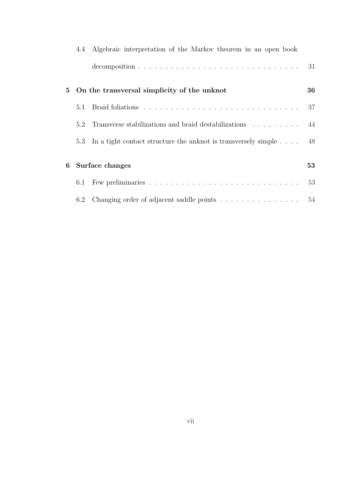|   |     | 4.4 Algebraic interpretation of the Markov theorem in an open book       |    |
|---|-----|--------------------------------------------------------------------------|----|
|   |     |                                                                          | 31 |
| 5 |     | On the transversal simplicity of the unknot                              | 36 |
|   | 5.1 |                                                                          | 37 |
|   | 5.2 | Transverse stabilizations and braid destabilizations 44                  |    |
|   | 5.3 | In a tight contact structure the unknot is transversely simple $\dots$ . | 48 |
|   |     |                                                                          |    |
| 6 |     | Surface changes                                                          | 53 |
|   | 6.1 |                                                                          | 53 |
|   | 6.2 | Changing order of adjacent saddle points 54                              |    |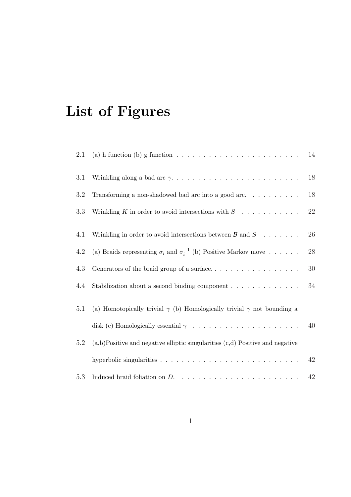## List of Figures

| 2.1 | (a) h function (b) g function $\ldots \ldots \ldots \ldots \ldots \ldots \ldots \ldots$ | 14     |
|-----|-----------------------------------------------------------------------------------------|--------|
| 3.1 |                                                                                         | 18     |
| 3.2 | Transforming a non-shadowed bad arc into a good arc. $\ldots \ldots \ldots$             | 18     |
| 3.3 | Wrinkling K in order to avoid intersections with $S \dots \dots \dots$                  | $22\,$ |
| 4.1 | Wrinkling in order to avoid intersections between $\beta$ and $S$                       | 26     |
|     |                                                                                         |        |
| 4.2 | (a) Braids representing $\sigma_i$ and $\sigma_i^{-1}$ (b) Positive Markov move         | 28     |
| 4.3 |                                                                                         | $30\,$ |
| 4.4 |                                                                                         | $34\,$ |
|     |                                                                                         |        |
| 5.1 | (a) Homotopically trivial $\gamma$ (b) Homologically trivial $\gamma$ not bounding a    |        |
|     |                                                                                         | 40     |
| 5.2 | $(a,b)$ Positive and negative elliptic singularities $(c,d)$ Positive and negative      |        |
|     |                                                                                         | 42     |
| 5.3 |                                                                                         | 42     |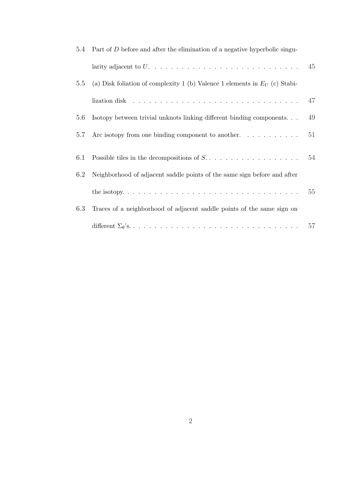| 5.4 | Part of $D$ before and after the elimination of a negative hyperbolic singu-          |    |
|-----|---------------------------------------------------------------------------------------|----|
|     |                                                                                       | 45 |
| 5.5 | (a) Disk foliation of complexity 1 (b) Valence 1 elements in $E_U$ (c) Stabi-         |    |
|     | lization disk $\ldots \ldots \ldots \ldots \ldots \ldots \ldots \ldots \ldots \ldots$ | 47 |
| 5.6 | Isotopy between trivial unknots linking different binding components                  | 49 |
| 5.7 | Arc isotopy from one binding component to another. $\dots \dots \dots$                | 51 |
| 6.1 |                                                                                       | 54 |
| 6.2 | Neighborhood of adjacent saddle points of the same sign before and after              |    |
|     |                                                                                       | 55 |
| 6.3 | Traces of a neighborhood of adjacent saddle points of the same sign on                |    |
|     |                                                                                       | 57 |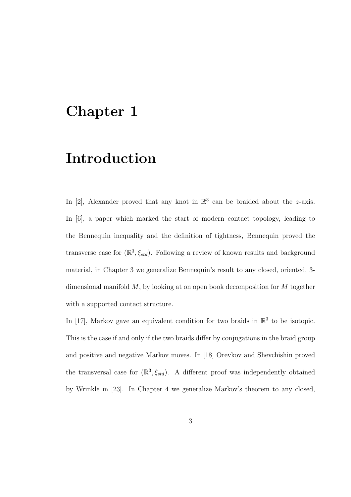## Chapter 1

## Introduction

In [2], Alexander proved that any knot in  $\mathbb{R}^3$  can be braided about the *z*-axis. In [6], a paper which marked the start of modern contact topology, leading to the Bennequin inequality and the definition of tightness, Bennequin proved the transverse case for  $(\mathbb{R}^3, \xi_{std})$ . Following a review of known results and background material, in Chapter 3 we generalize Bennequin's result to any closed, oriented, 3 dimensional manifold  $M$ , by looking at on open book decomposition for  $M$  together with a supported contact structure.

In [17], Markov gave an equivalent condition for two braids in  $\mathbb{R}^3$  to be isotopic. This is the case if and only if the two braids differ by conjugations in the braid group and positive and negative Markov moves. In [18] Orevkov and Shevchishin proved the transversal case for  $(\mathbb{R}^3, \xi_{std})$ . A different proof was independently obtained by Wrinkle in [23]. In Chapter 4 we generalize Markov's theorem to any closed,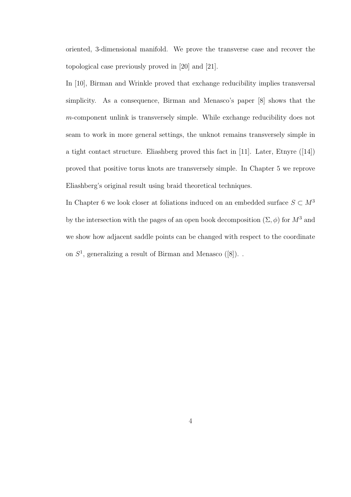oriented, 3-dimensional manifold. We prove the transverse case and recover the topological case previously proved in [20] and [21].

In [10], Birman and Wrinkle proved that exchange reducibility implies transversal simplicity. As a consequence, Birman and Menasco's paper [8] shows that the m-component unlink is transversely simple. While exchange reducibility does not seam to work in more general settings, the unknot remains transversely simple in a tight contact structure. Eliashberg proved this fact in [11]. Later, Etnyre ([14]) proved that positive torus knots are transversely simple. In Chapter 5 we reprove Eliashberg's original result using braid theoretical techniques.

In Chapter 6 we look closer at foliations induced on an embedded surface  $S \subset M^3$ by the intersection with the pages of an open book decomposition  $(\Sigma, \phi)$  for  $M^3$  and we show how adjacent saddle points can be changed with respect to the coordinate on  $S<sup>1</sup>$ , generalizing a result of Birman and Menasco ([8]).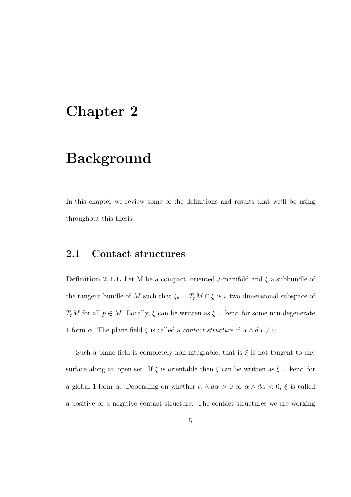## Chapter 2

## Background

In this chapter we review some of the definitions and results that we'll be using throughout this thesis.

#### 2.1 Contact structures

**Definition 2.1.1.** Let M be a compact, oriented 3-manifold and  $\xi$  a subbundle of the tangent bundle of  $M$  such that  $\xi_p = T_pM \cap \xi$  is a two dimensional subspace of  $T_pM$  for all  $p \in M$ . Locally,  $\xi$  can be written as  $\xi = \ker \alpha$  for some non-degenerate 1-form  $\alpha$ . The plane field  $\xi$  is called a *contact structure* if  $\alpha \wedge d\alpha \neq 0$ .

Such a plane field is completely non-integrable, that is  $\xi$  is not tangent to any surface along an open set. If  $\xi$  is orientable then  $\xi$  can be written as  $\xi = \ker \alpha$  for a global 1-form  $\alpha$ . Depending on whether  $\alpha \wedge d\alpha > 0$  or  $\alpha \wedge d\alpha < 0$ ,  $\xi$  is called a positive or a negative contact structure. The contact structures we are working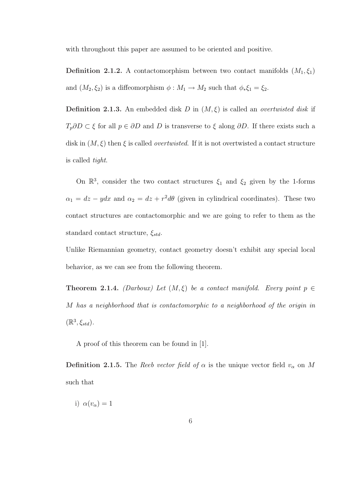with throughout this paper are assumed to be oriented and positive.

**Definition 2.1.2.** A contactomorphism between two contact manifolds  $(M_1, \xi_1)$ and  $(M_2, \xi_2)$  is a diffeomorphism  $\phi : M_1 \to M_2$  such that  $\phi_* \xi_1 = \xi_2$ .

**Definition 2.1.3.** An embedded disk D in  $(M, \xi)$  is called an *overtwisted disk* if  $T_p\partial D \subset \xi$  for all  $p \in \partial D$  and D is transverse to  $\xi$  along  $\partial D$ . If there exists such a disk in  $(M, \xi)$  then  $\xi$  is called *overtwisted*. If it is not overtwisted a contact structure is called tight.

On  $\mathbb{R}^3$ , consider the two contact structures  $\xi_1$  and  $\xi_2$  given by the 1-forms  $\alpha_1 = dz - y dx$  and  $\alpha_2 = dz + r^2 d\theta$  (given in cylindrical coordinates). These two contact structures are contactomorphic and we are going to refer to them as the standard contact structure,  $\xi_{std}$ .

Unlike Riemannian geometry, contact geometry doesn't exhibit any special local behavior, as we can see from the following theorem.

**Theorem 2.1.4.** (Darboux) Let  $(M, \xi)$  be a contact manifold. Every point  $p \in$ M has a neighborhood that is contactomorphic to a neighborhood of the origin in  $(\mathbb{R}^3, \xi_{std}).$ 

A proof of this theorem can be found in [1].

**Definition 2.1.5.** The Reeb vector field of  $\alpha$  is the unique vector field  $v_{\alpha}$  on M such that

i)  $\alpha(v_\alpha) = 1$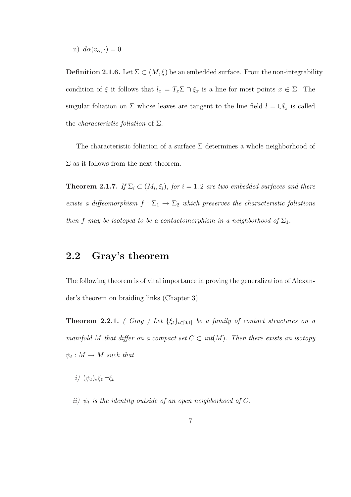ii)  $d\alpha(v_\alpha, \cdot) = 0$ 

**Definition 2.1.6.** Let  $\Sigma \subset (M, \xi)$  be an embedded surface. From the non-integrability condition of  $\xi$  it follows that  $l_x = T_x \Sigma \cap \xi_x$  is a line for most points  $x \in \Sigma$ . The singular foliation on  $\Sigma$  whose leaves are tangent to the line field  $l = \bigcup l_x$  is called the *characteristic foliation* of  $\Sigma$ .

The characteristic foliation of a surface  $\Sigma$  determines a whole neighborhood of  $\Sigma$  as it follows from the next theorem.

**Theorem 2.1.7.** If  $\Sigma_i \subset (M_i, \xi_i)$ , for  $i = 1, 2$  are two embedded surfaces and there exists a diffeomorphism  $f : \Sigma_1 \to \Sigma_2$  which preserves the characteristic foliations then f may be isotoped to be a contactomorphism in a neighborhood of  $\Sigma_1$ .

### 2.2 Gray's theorem

The following theorem is of vital importance in proving the generalization of Alexander's theorem on braiding links (Chapter 3).

**Theorem 2.2.1.** ( Gray ) Let  $\{\xi_t\}_{t\in[0,1]}$  be a family of contact structures on a manifold M that differ on a compact set  $C \subset int(M)$ . Then there exists an isotopy  $\psi_t: M \to M$  such that

- i)  $(\psi_t)_*\xi_0=\xi_t$
- ii)  $\psi_t$  is the identity outside of an open neighborhood of C.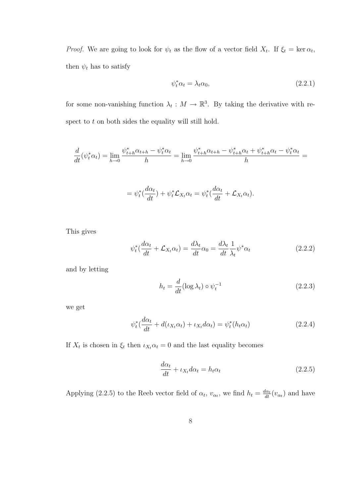*Proof.* We are going to look for  $\psi_t$  as the flow of a vector field  $X_t$ . If  $\xi_t = \ker \alpha_t$ , then  $\psi_t$  has to satisfy

$$
\psi_t^* \alpha_t = \lambda_t \alpha_0,\tag{2.2.1}
$$

for some non-vanishing function  $\lambda_t : M \to \mathbb{R}^3$ . By taking the derivative with respect to t on both sides the equality will still hold.

$$
\frac{d}{dt}(\psi_t^* \alpha_t) = \lim_{h \to 0} \frac{\psi_{t+h}^* \alpha_{t+h} - \psi_t^* \alpha_t}{h} = \lim_{h \to 0} \frac{\psi_{t+h}^* \alpha_{t+h} - \psi_{t+h}^* \alpha_t + \psi_{t+h}^* \alpha_t - \psi_t^* \alpha_t}{h} =
$$

$$
= \psi_t^* \left( \frac{d\alpha_t}{dt} \right) + \psi_t^* \mathcal{L}_{X_t} \alpha_t = \psi_t^* \left( \frac{d\alpha_t}{dt} + \mathcal{L}_{X_t} \alpha_t \right).
$$

This gives

$$
\psi_t^* \left( \frac{d\alpha_t}{dt} + \mathcal{L}_{X_t} \alpha_t \right) = \frac{d\lambda_t}{dt} \alpha_0 = \frac{d\lambda_t}{dt} \frac{1}{\lambda_t} \psi^* \alpha_t \tag{2.2.2}
$$

and by letting

$$
h_t = \frac{d}{dt} (\log \lambda_t) \circ \psi_t^{-1} \tag{2.2.3}
$$

we get

$$
\psi_t^* \left( \frac{d\alpha_t}{dt} + d(\iota_{X_t} \alpha_t) + \iota_{X_t} d\alpha_t \right) = \psi_t^* (h_t \alpha_t)
$$
\n(2.2.4)

If  $X_t$  is chosen in  $\xi_t$  then  $\iota_{X_t} \alpha_t = 0$  and the last equality becomes

$$
\frac{d\alpha_t}{dt} + \iota_{X_t} d\alpha_t = h_t \alpha_t \tag{2.2.5}
$$

Applying (2.2.5) to the Reeb vector field of  $\alpha_t$ ,  $v_{\alpha_t}$ , we find  $h_t = \frac{d\alpha_t}{dt}(v_{\alpha_t})$  and have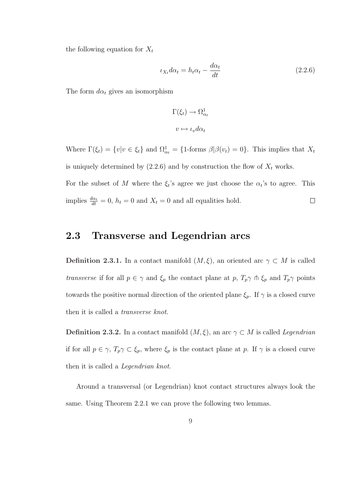the following equation for  $X_t$ 

$$
\iota_{X_t} d\alpha_t = h_t \alpha_t - \frac{d\alpha_t}{dt} \tag{2.2.6}
$$

The form  $d\alpha_t$  gives an isomorphism

$$
\Gamma(\xi_t) \to \Omega_{\alpha_t}^1
$$

$$
v \mapsto \iota_v d\alpha_t
$$

Where  $\Gamma(\xi_t) = \{v | v \in \xi_t\}$  and  $\Omega_{\alpha_t}^1 = \{1 \text{-forms } \beta | \beta(v_t) = 0\}$ . This implies that  $X_t$ is uniquely determined by (2.2.6) and by construction the flow of  $X_t$  works. For the subset of M where the  $\xi_t$ 's agree we just choose the  $\alpha_t$ 's to agree. This implies  $\frac{d\alpha_t}{dt} = 0$ ,  $h_t = 0$  and  $X_t = 0$  and all equalities hold.  $\Box$ 

#### 2.3 Transverse and Legendrian arcs

**Definition 2.3.1.** In a contact manifold  $(M, \xi)$ , an oriented arc  $\gamma \subset M$  is called transverse if for all  $p \in \gamma$  and  $\xi_p$  the contact plane at p,  $T_p\gamma \pitchfork \xi_p$  and  $T_p\gamma$  points towards the positive normal direction of the oriented plane  $\xi_p$ . If  $\gamma$  is a closed curve then it is called a transverse knot.

**Definition 2.3.2.** In a contact manifold  $(M, \xi)$ , an arc  $\gamma \subset M$  is called *Legendrian* if for all  $p \in \gamma$ ,  $T_p \gamma \subset \xi_p$ , where  $\xi_p$  is the contact plane at p. If  $\gamma$  is a closed curve then it is called a Legendrian knot.

Around a transversal (or Legendrian) knot contact structures always look the same. Using Theorem 2.2.1 we can prove the following two lemmas.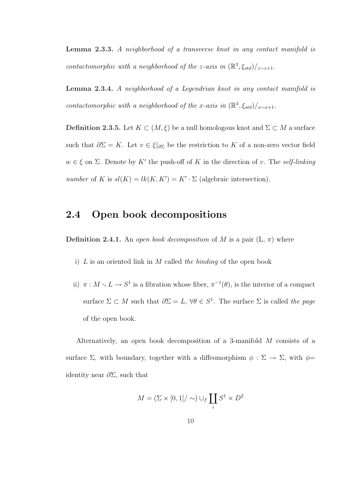Lemma 2.3.3. A neighborhood of a transverse knot in any contact manifold is contactomorphic with a neighborhood of the z-axis in  $(\mathbb{R}^3, \xi_{std})/_{z \sim z+1}$ .

Lemma 2.3.4. A neighborhood of a Legendrian knot in any contact manifold is contactomorphic with a neighborhood of the x-axis in  $(\mathbb{R}^3, \xi_{std})/_{x \sim x+1}$ .

Definition 2.3.5. Let  $K \subset (M, \xi)$  be a null homologous knot and  $\Sigma \subset M$  a surface such that  $\partial \Sigma = K$ . Let  $v \in \xi|_{\partial \Sigma}$  be the restriction to K of a non-zero vector field  $w \in \xi$  on  $\Sigma$ . Denote by K' the push-off of K in the direction of v. The self-linking number of K is  $sl(K) = lk(K, K') = K' \cdot \Sigma$  (algebraic intersection).

#### 2.4 Open book decompositions

**Definition 2.4.1.** An open book decomposition of M is a pair  $(L, \pi)$  where

- i)  $L$  is an oriented link in  $M$  called the binding of the open book
- ii)  $\pi : M \setminus L \to S^1$  is a fibration whose fiber,  $\pi^{-1}(\theta)$ , is the interior of a compact surface  $\Sigma \subset M$  such that  $\partial \Sigma = L$ ,  $\forall \theta \in S^1$ . The surface  $\Sigma$  is called the page of the open book.

Alternatively, an open book decomposition of a 3-manifold M consists of a surface  $\Sigma$ , with boundary, together with a diffeomorphism  $\phi : \Sigma \to \Sigma$ , with  $\phi =$ identity near  $\partial \Sigma$ , such that

$$
M = (\Sigma \times [0,1] / \sim) \cup_f \coprod_i S^1 \times D^2
$$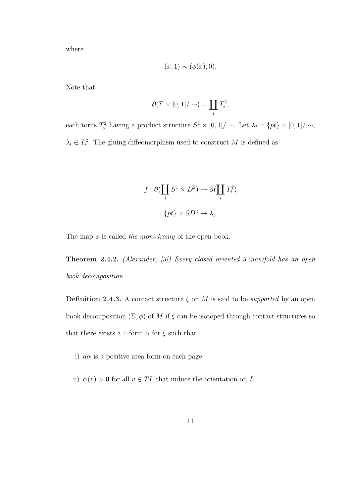where

$$
(x,1) \sim (\phi(x),0).
$$

Note that

$$
\partial(\Sigma \times [0,1]/\sim) = \coprod_i T_i^2,
$$

each torus  $T_i^2$  having a product structure  $S^1 \times [0,1] / \sim$ . Let  $\lambda_i = \{pt\} \times [0,1] / \sim$ ,  $\lambda_i \in T_i^2$ . The gluing diffeomorphism used to construct M is defined as

$$
f : \partial(\coprod_i S^1 \times D^2) \to \partial(\coprod_i T_i^2)
$$
  

$$
\{pt\} \times \partial D^2 \to \lambda_i.
$$

The map  $\phi$  is called the monodromy of the open book.

Theorem 2.4.2. (Alexander, [3]) Every closed oriented 3-manifold has an open book decomposition.

Definition 2.4.3. A contact structure  $\xi$  on M is said to be *supported* by an open book decomposition  $(\Sigma, \phi)$  of M if  $\xi$  can be isotoped through contact structures so that there exists a 1-form  $\alpha$  for  $\xi$  such that

- i)  $d\alpha$  is a positive area form on each page
- ii)  $\alpha(v) > 0$  for all  $v \in TL$  that induce the orientation on L.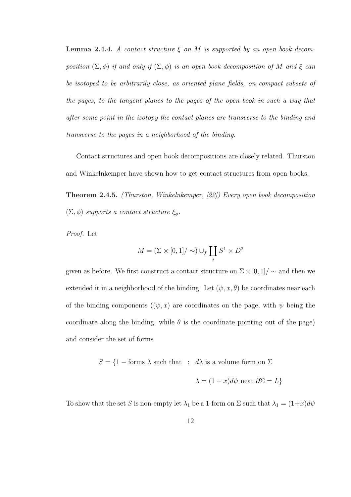**Lemma 2.4.4.** A contact structure  $\xi$  on M is supported by an open book decomposition  $(\Sigma, \phi)$  if and only if  $(\Sigma, \phi)$  is an open book decomposition of M and  $\xi$  can be isotoped to be arbitrarily close, as oriented plane fields, on compact subsets of the pages, to the tangent planes to the pages of the open book in such a way that after some point in the isotopy the contact planes are transverse to the binding and transverse to the pages in a neighborhood of the binding.

Contact structures and open book decompositions are closely related. Thurston and Winkelnkemper have shown how to get contact structures from open books.

Theorem 2.4.5. (Thurston, Winkelnkemper, [22]) Every open book decomposition  $(\Sigma, \phi)$  supports a contact structure  $\xi_{\phi}$ .

Proof. Let

$$
M = (\Sigma \times [0,1] / \sim) \cup_f \coprod_i S^1 \times D^2
$$

given as before. We first construct a contact structure on  $\Sigma \times [0, 1] / \sim$  and then we extended it in a neighborhood of the binding. Let  $(\psi, x, \theta)$  be coordinates near each of the binding components  $((\psi, x)$  are coordinates on the page, with  $\psi$  being the coordinate along the binding, while  $\theta$  is the coordinate pointing out of the page) and consider the set of forms

 $S = \{1 - \text{forms } \lambda \text{ such that } : d\lambda \text{ is a volume form on } \Sigma \}$ 

$$
\lambda = (1+x)d\psi \text{ near } \partial\Sigma = L\}
$$

To show that the set S is non-empty let  $\lambda_1$  be a 1-form on  $\Sigma$  such that  $\lambda_1 = (1+x)d\psi$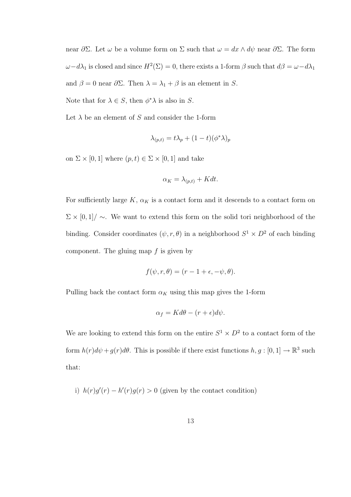near  $\partial \Sigma$ . Let  $\omega$  be a volume form on  $\Sigma$  such that  $\omega = dx \wedge d\psi$  near  $\partial \Sigma$ . The form  $\omega - d\lambda_1$  is closed and since  $H^2(\Sigma) = 0$ , there exists a 1-form  $\beta$  such that  $d\beta = \omega - d\lambda_1$ and  $\beta = 0$  near  $\partial \Sigma$ . Then  $\lambda = \lambda_1 + \beta$  is an element in S.

Note that for  $\lambda \in S$ , then  $\phi^* \lambda$  is also in S.

Let  $\lambda$  be an element of S and consider the 1-form

$$
\lambda_{(p,t)} = t\lambda_p + (1-t)(\phi^*\lambda)_p
$$

on  $\Sigma \times [0, 1]$  where  $(p, t) \in \Sigma \times [0, 1]$  and take

$$
\alpha_K = \lambda_{(p,t)} + K dt.
$$

For sufficiently large  $K$ ,  $\alpha_K$  is a contact form and it descends to a contact form on  $\Sigma \times [0,1] / \sim$ . We want to extend this form on the solid tori neighborhood of the binding. Consider coordinates  $(\psi, r, \theta)$  in a neighborhood  $S^1 \times D^2$  of each binding component. The gluing map  $f$  is given by

$$
f(\psi, r, \theta) = (r - 1 + \epsilon, -\psi, \theta).
$$

Pulling back the contact form  $\alpha_K$  using this map gives the 1-form

$$
\alpha_f = K d\theta - (r + \epsilon) d\psi.
$$

We are looking to extend this form on the entire  $S^1 \times D^2$  to a contact form of the form  $h(r)d\psi + g(r)d\theta$ . This is possible if there exist functions  $h, g : [0, 1] \to \mathbb{R}^3$  such that:

i)  $h(r)g'(r) - h'(r)g(r) > 0$  (given by the contact condition)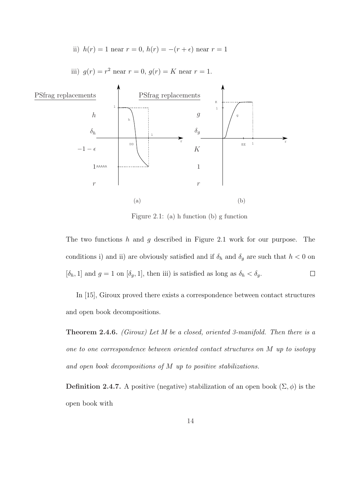ii) 
$$
h(r) = 1
$$
 near  $r = 0$ ,  $h(r) = -(r + \epsilon)$  near  $r = 1$ 



iii)  $g(r) = r^2$  near  $r = 0$ ,  $g(r) = K$  near  $r = 1$ .

Figure 2.1: (a) h function (b) g function

The two functions h and q described in Figure 2.1 work for our purpose. The conditions i) and ii) are obviously satisfied and if  $\delta_h$  and  $\delta_g$  are such that  $h < 0$  on  $[\delta_h, 1]$  and  $g = 1$  on  $[\delta_g, 1]$ , then iii) is satisfied as long as  $\delta_h < \delta_g$ .  $\Box$ 

In [15], Giroux proved there exists a correspondence between contact structures and open book decompositions.

Theorem 2.4.6. (Giroux) Let M be a closed, oriented 3-manifold. Then there is a one to one correspondence between oriented contact structures on M up to isotopy and open book decompositions of M up to positive stabilizations.

Definition 2.4.7. A positive (negative) stabilization of an open book  $(\Sigma, \phi)$  is the open book with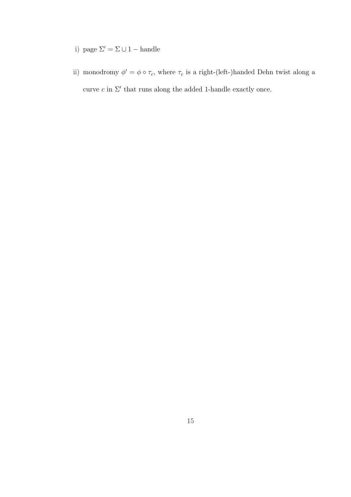- i) page  $\Sigma' = \Sigma \cup 1$  handle
- ii) monodromy  $\phi' = \phi \circ \tau_c$ , where  $\tau_c$  is a right-(left-)handed Dehn twist along a curve  $c$  in  $\Sigma'$  that runs along the added 1-handle exactly once.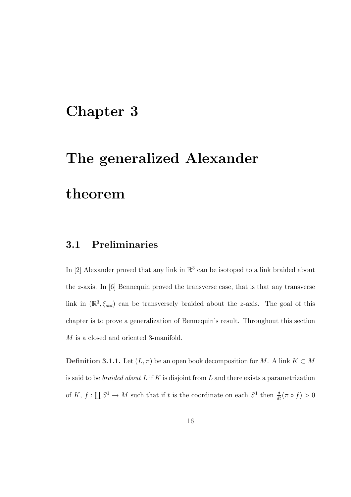### Chapter 3

## The generalized Alexander

### theorem

### 3.1 Preliminaries

In [2] Alexander proved that any link in  $\mathbb{R}^3$  can be isotoped to a link braided about the z-axis. In [6] Bennequin proved the transverse case, that is that any transverse link in  $(\mathbb{R}^3, \xi_{std})$  can be transversely braided about the *z*-axis. The goal of this chapter is to prove a generalization of Bennequin's result. Throughout this section M is a closed and oriented 3-manifold.

**Definition 3.1.1.** Let  $(L, \pi)$  be an open book decomposition for M. A link  $K \subset M$ is said to be *braided about*  $L$  if  $K$  is disjoint from  $L$  and there exists a parametrization of  $K, f:$  $\overline{r}$  $S^1 \to M$  such that if t is the coordinate on each  $S^1$  then  $\frac{d}{dt}(\pi \circ f) > 0$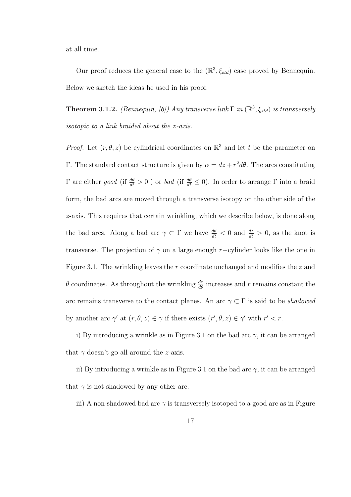at all time.

Our proof reduces the general case to the  $(\mathbb{R}^3, \xi_{std})$  case proved by Bennequin. Below we sketch the ideas he used in his proof.

**Theorem 3.1.2.** (Bennequin, [6]) Any transverse link  $\Gamma$  in  $(\mathbb{R}^3, \xi_{std})$  is transversely isotopic to a link braided about the z-axis.

*Proof.* Let  $(r, \theta, z)$  be cylindrical coordinates on  $\mathbb{R}^3$  and let t be the parameter on Γ. The standard contact structure is given by  $\alpha = dz + r^2 d\theta$ . The arcs constituting Γ are either good (if  $\frac{d\theta}{dt} > 0$ ) or bad (if  $\frac{d\theta}{dt} \le 0$ ). In order to arrange Γ into a braid form, the bad arcs are moved through a transverse isotopy on the other side of the z-axis. This requires that certain wrinkling, which we describe below, is done along the bad arcs. Along a bad arc  $\gamma \subset \Gamma$  we have  $\frac{d\theta}{dt} < 0$  and  $\frac{dz}{dt} > 0$ , as the knot is transverse. The projection of  $\gamma$  on a large enough r–cylinder looks like the one in Figure 3.1. The wrinkling leaves the r coordinate unchanged and modifies the z and  $\theta$  coordinates. As throughout the wrinkling  $\frac{dz}{d\theta}$  increases and r remains constant the arc remains transverse to the contact planes. An arc  $\gamma \subset \Gamma$  is said to be *shadowed* by another arc  $\gamma'$  at  $(r, \theta, z) \in \gamma$  if there exists  $(r', \theta, z) \in \gamma'$  with  $r' < r$ .

i) By introducing a wrinkle as in Figure 3.1 on the bad arc  $\gamma$ , it can be arranged that  $\gamma$  doesn't go all around the *z*-axis.

ii) By introducing a wrinkle as in Figure 3.1 on the bad arc  $\gamma$ , it can be arranged that  $\gamma$  is not shadowed by any other arc.

iii) A non-shadowed bad arc  $\gamma$  is transversely isotoped to a good arc as in Figure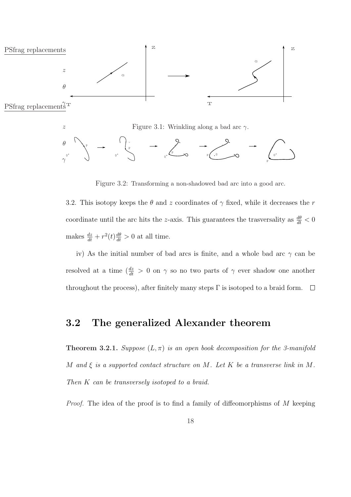

Figure 3.2: Transforming a non-shadowed bad arc into a good arc.

3.2. This isotopy keeps the  $\theta$  and z coordinates of  $\gamma$  fixed, while it decreases the r coordinate until the arc hits the z-axis. This guarantees the trasversality as  $\frac{d\theta}{dt} < 0$ makes  $\frac{dz}{dt} + r^2(t)\frac{d\theta}{dt} > 0$  at all time.

iv) As the initial number of bad arcs is finite, and a whole bad arc  $\gamma$  can be resolved at a time  $\left(\frac{dz}{dt}\right) > 0$  on  $\gamma$  so no two parts of  $\gamma$  ever shadow one another throughout the process), after finitely many steps  $\Gamma$  is isotoped to a braid form.  $\Box$ 

#### 3.2 The generalized Alexander theorem

**Theorem 3.2.1.** Suppose  $(L, \pi)$  is an open book decomposition for the 3-manifold M and  $\xi$  is a supported contact structure on M. Let K be a transverse link in M. Then K can be transversely isotoped to a braid.

*Proof.* The idea of the proof is to find a family of diffeomorphisms of  $M$  keeping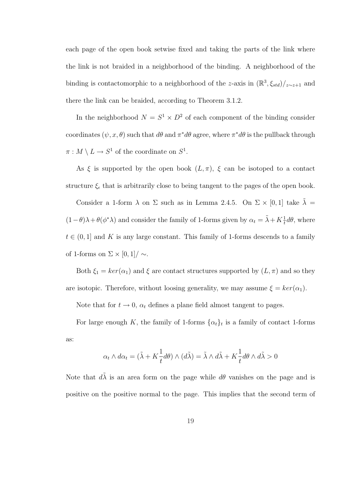each page of the open book setwise fixed and taking the parts of the link where the link is not braided in a neighborhood of the binding. A neighborhood of the binding is contactomorphic to a neighborhood of the z-axis in  $(\mathbb{R}^3, \xi_{std})/_{z \sim z+1}$  and there the link can be braided, according to Theorem 3.1.2.

In the neighborhood  $N = S^1 \times D^2$  of each component of the binding consider coordinates  $(\psi, x, \theta)$  such that  $d\theta$  and  $\pi^* d\theta$  agree, where  $\pi^* d\theta$  is the pullback through  $\pi: M \setminus L \to S^1$  of the coordinate on  $S^1$ .

As  $\xi$  is supported by the open book  $(L, \pi)$ ,  $\xi$  can be isotoped to a contact structure  $\xi_{\epsilon}$  that is arbitrarily close to being tangent to the pages of the open book.

Consider a 1-form  $\lambda$  on  $\Sigma$  such as in Lemma 2.4.5. On  $\Sigma \times [0,1]$  take  $\lambda =$  $(1-\theta)\lambda + \theta(\phi^*\lambda)$  and consider the family of 1-forms given by  $\alpha_t = \tilde{\lambda} + K\frac{1}{t}d\theta$ , where  $t \in (0, 1]$  and K is any large constant. This family of 1-forms descends to a family of 1-forms on  $\Sigma \times [0,1] / \sim$ .

Both  $\xi_1 = \ker(\alpha_1)$  and  $\xi$  are contact structures supported by  $(L, \pi)$  and so they are isotopic. Therefore, without loosing generality, we may assume  $\xi = \ker(\alpha_1)$ .

Note that for  $t \to 0$ ,  $\alpha_t$  defines a plane field almost tangent to pages.

For large enough K, the family of 1-forms  $\{\alpha_t\}_t$  is a family of contact 1-forms as:

$$
\alpha_t \wedge d\alpha_t = (\tilde{\lambda} + K \frac{1}{t} d\theta) \wedge (d\tilde{\lambda}) = \tilde{\lambda} \wedge d\tilde{\lambda} + K \frac{1}{t} d\theta \wedge d\tilde{\lambda} > 0
$$

Note that  $d\tilde{\lambda}$  is an area form on the page while  $d\theta$  vanishes on the page and is positive on the positive normal to the page. This implies that the second term of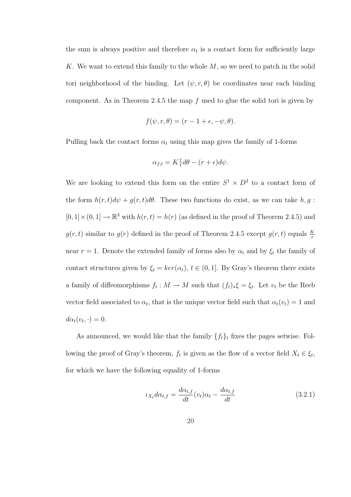the sum is always positive and therefore  $\alpha_t$  is a contact form for sufficiently large K. We want to extend this family to the whole  $M$ , so we need to patch in the solid tori neighborhood of the binding. Let  $(\psi, r, \theta)$  be coordinates near each binding component. As in Theorem 2.4.5 the map  $f$  used to glue the solid tori is given by

$$
f(\psi, r, \theta) = (r - 1 + \epsilon, -\psi, \theta).
$$

Pulling back the contact forms  $\alpha_t$  using this map gives the family of 1-forms

$$
\alpha_{f,t} = K \frac{1}{t} d\theta - (r + \epsilon) d\psi.
$$

We are looking to extend this form on the entire  $S^1 \times D^2$  to a contact form of the form  $h(r, t)d\psi + g(r, t)d\theta$ . These two functions do exist, as we can take  $h, g$ :  $[0, 1] \times (0, 1] \rightarrow \mathbb{R}^3$  with  $h(r, t) = h(r)$  (as defined in the proof of Theorem 2.4.5) and  $g(r, t)$  similar to  $g(r)$  defined in the proof of Theorem 2.4.5 except  $g(r, t)$  equals  $\frac{K}{t}$ near  $r = 1$ . Denote the extended family of forms also by  $\alpha_t$  and by  $\xi_t$  the family of contact structures given by  $\xi_t = \ker(\alpha_t)$ ,  $t \in (0, 1]$ . By Gray's theorem there exists a family of diffeomorphisms  $f_t: M \to M$  such that  $(f_t)_*\xi = \xi_t$ . Let  $v_t$  be the Reeb vector field associated to  $\alpha_t$ , that is the unique vector field such that  $\alpha_t(v_t) = 1$  and  $d\alpha_t(v_t, \cdot) = 0.$ 

As announced, we would like that the family  $\{f_t\}_t$  fixes the pages setwise. Following the proof of Gray's theorem,  $f_t$  is given as the flow of a vector field  $X_t \in \xi_t$ , for which we have the following equality of 1-forms

$$
\iota_{X_t} d\alpha_{t,f} = \frac{d\alpha_{t,f}}{dt}(v_t)\alpha_t - \frac{d\alpha_{t,f}}{dt}
$$
\n(3.2.1)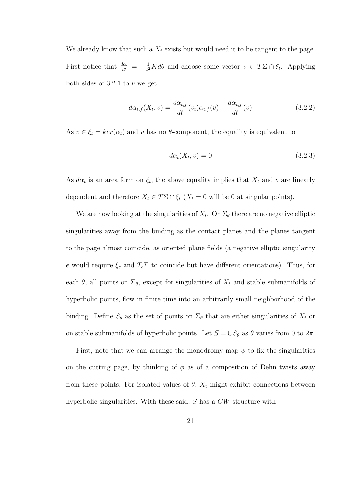We already know that such a  $X_t$  exists but would need it to be tangent to the page. First notice that  $\frac{d\alpha_t}{dt} = -\frac{1}{t^2}$  $\frac{1}{t^2}Kd\theta$  and choose some vector  $v \in T\Sigma \cap \xi_t$ . Applying both sides of  $3.2.1$  to v we get

$$
d\alpha_{t,f}(X_t, v) = \frac{d\alpha_{t,f}}{dt}(v_t)\alpha_{t,f}(v) - \frac{d\alpha_{t,f}}{dt}(v)
$$
\n(3.2.2)

As  $v \in \xi_t = \ker(\alpha_t)$  and v has no  $\theta$ -component, the equality is equivalent to

$$
d\alpha_t(X_t, v) = 0 \tag{3.2.3}
$$

As  $d\alpha_t$  is an area form on  $\xi_t$ , the above equality implies that  $X_t$  and v are linearly dependent and therefore  $X_t \in T\Sigma \cap \xi_t$  ( $X_t = 0$  will be 0 at singular points).

We are now looking at the singularities of  $X_t$ . On  $\Sigma_{\theta}$  there are no negative elliptic singularities away from the binding as the contact planes and the planes tangent to the page almost coincide, as oriented plane fields (a negative elliptic singularity e would require  $\xi_e$  and  $T_e\Sigma$  to coincide but have different orientations). Thus, for each  $\theta$ , all points on  $\Sigma_{\theta}$ , except for singularities of  $X_t$  and stable submanifolds of hyperbolic points, flow in finite time into an arbitrarily small neighborhood of the binding. Define  $S_{\theta}$  as the set of points on  $\Sigma_{\theta}$  that are either singularities of  $X_t$  or on stable submanifolds of hyperbolic points. Let  $S = \cup S_{\theta}$  as  $\theta$  varies from 0 to  $2\pi$ .

First, note that we can arrange the monodromy map  $\phi$  to fix the singularities on the cutting page, by thinking of  $\phi$  as of a composition of Dehn twists away from these points. For isolated values of  $\theta$ ,  $X_t$  might exhibit connections between hyperbolic singularities. With these said, S has a CW structure with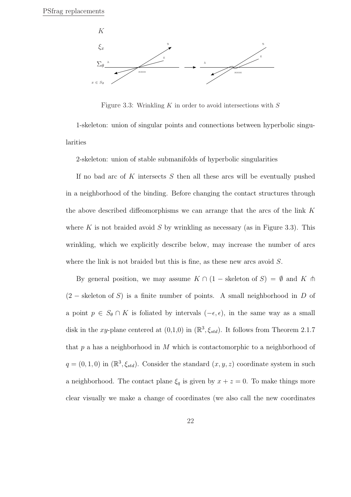

Figure 3.3: Wrinkling  $K$  in order to avoid intersections with  $S$ 

1-skeleton: union of singular points and connections between hyperbolic singularities

2-skeleton: union of stable submanifolds of hyperbolic singularities

If no bad arc of K intersects  $S$  then all these arcs will be eventually pushed in a neighborhood of the binding. Before changing the contact structures through the above described diffeomorphisms we can arrange that the arcs of the link K where K is not braided avoid S by wrinkling as necessary (as in Figure 3.3). This wrinkling, which we explicitly describe below, may increase the number of arcs where the link is not braided but this is fine, as these new arcs avoid  $S$ .

By general position, we may assume  $K \cap (1 - \text{skeleton of } S) = \emptyset$  and K  $\pitchfork$  $(2 - s$ keleton of S) is a finite number of points. A small neighborhood in D of a point  $p \in S_{\theta} \cap K$  is foliated by intervals  $(-\epsilon, \epsilon)$ , in the same way as a small disk in the xy-plane centered at  $(0,1,0)$  in  $(\mathbb{R}^3, \xi_{std})$ . It follows from Theorem 2.1.7 that p a has a neighborhood in M which is contactomorphic to a neighborhood of  $q = (0, 1, 0)$  in  $(\mathbb{R}^3, \xi_{std})$ . Consider the standard  $(x, y, z)$  coordinate system in such a neighborhood. The contact plane  $\xi_q$  is given by  $x + z = 0$ . To make things more clear visually we make a change of coordinates (we also call the new coordinates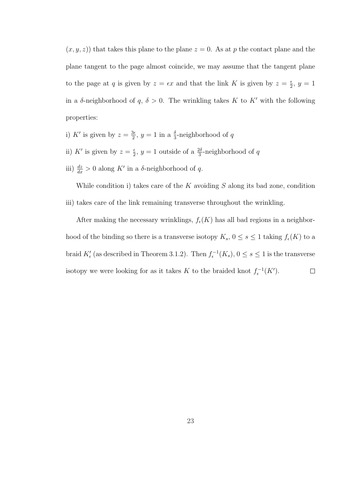$(x, y, z)$  that takes this plane to the plane  $z = 0$ . As at p the contact plane and the plane tangent to the page almost coincide, we may assume that the tangent plane to the page at q is given by  $z = \epsilon x$  and that the link K is given by  $z = \frac{\epsilon}{2}$  $\frac{\epsilon}{2}, y = 1$ in a  $\delta$ -neighborhood of  $q, \delta > 0$ . The wrinkling takes K to K' with the following properties:

- i) K' is given by  $z = \frac{3\epsilon}{2}$  $\frac{3\epsilon}{2}$ ,  $y = 1$  in a  $\frac{\delta}{3}$ -neighborhood of q
- ii) K' is given by  $z = \frac{e}{3}$  $\frac{\epsilon}{2}$ ,  $y = 1$  outside of a  $\frac{2\delta}{3}$ -neighborhood of q
- iii)  $\frac{dz}{dx} > 0$  along K' in a  $\delta$ -neighborhood of q.

While condition i) takes care of the  $K$  avoiding  $S$  along its bad zone, condition iii) takes care of the link remaining transverse throughout the wrinkling.

After making the necessary wrinklings,  $f_{\epsilon}(K)$  has all bad regions in a neighborhood of the binding so there is a transverse isotopy  $K_s$ ,  $0 \le s \le 1$  taking  $f_{\epsilon}(K)$  to a braid  $K'_{\epsilon}$  (as described in Theorem 3.1.2). Then  $f_{\epsilon}^{-1}(K_s)$ ,  $0 \leq s \leq 1$  is the transverse isotopy we were looking for as it takes K to the braided knot  $f_{\epsilon}^{-1}(K')$ .  $\Box$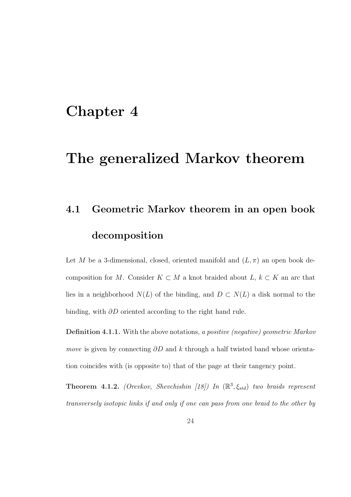### Chapter 4

### The generalized Markov theorem

## 4.1 Geometric Markov theorem in an open book decomposition

Let M be a 3-dimensional, closed, oriented manifold and  $(L, \pi)$  an open book decomposition for M. Consider  $K \subset M$  a knot braided about  $L, k \subset K$  an arc that lies in a neighborhood  $N(L)$  of the binding, and  $D \subset N(L)$  a disk normal to the binding, with ∂D oriented according to the right hand rule.

Definition 4.1.1. With the above notations, a positive (negative) geometric Markov *move* is given by connecting  $\partial D$  and k through a half twisted band whose orientation coincides with (is opposite to) that of the page at their tangency point.

**Theorem 4.1.2.** (Orevkov, Shevchishin [18]) In  $(\mathbb{R}^3, \xi_{std})$  two braids represent transversely isotopic links if and only if one can pass from one braid to the other by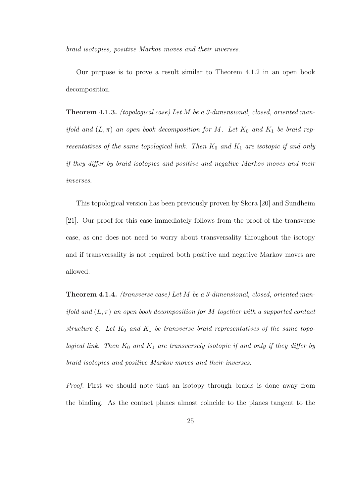braid isotopies, positive Markov moves and their inverses.

Our purpose is to prove a result similar to Theorem 4.1.2 in an open book decomposition.

Theorem 4.1.3. (topological case) Let M be a 3-dimensional, closed, oriented manifold and  $(L, \pi)$  an open book decomposition for M. Let  $K_0$  and  $K_1$  be braid representatives of the same topological link. Then  $K_0$  and  $K_1$  are isotopic if and only if they differ by braid isotopies and positive and negative Markov moves and their inverses.

This topological version has been previously proven by Skora [20] and Sundheim [21]. Our proof for this case immediately follows from the proof of the transverse case, as one does not need to worry about transversality throughout the isotopy and if transversality is not required both positive and negative Markov moves are allowed.

Theorem 4.1.4. (transverse case) Let M be a 3-dimensional, closed, oriented manifold and  $(L, \pi)$  an open book decomposition for M together with a supported contact structure  $\xi$ . Let  $K_0$  and  $K_1$  be transverse braid representatives of the same topological link. Then  $K_0$  and  $K_1$  are transversely isotopic if and only if they differ by braid isotopies and positive Markov moves and their inverses.

Proof. First we should note that an isotopy through braids is done away from the binding. As the contact planes almost coincide to the planes tangent to the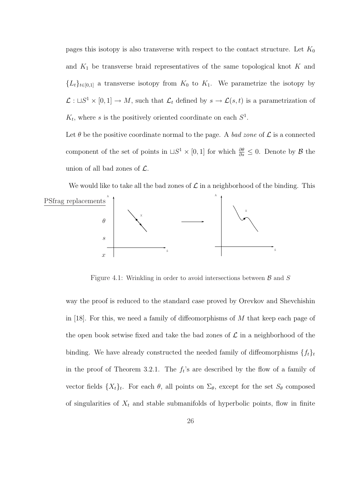pages this isotopy is also transverse with respect to the contact structure. Let  $K_0$ and  $K_1$  be transverse braid representatives of the same topological knot K and  ${L_t}_{t\in[0,1]}$  a transverse isotopy from  $K_0$  to  $K_1$ . We parametrize the isotopy by  $\mathcal{L}: \sqcup S^1 \times [0,1] \to M$ , such that  $\mathcal{L}_t$  defined by  $s \to \mathcal{L}(s,t)$  is a parametrization of  $K_t$ , where s is the positively oriented coordinate on each  $S^1$ .

Let  $\theta$  be the positive coordinate normal to the page. A bad zone of  $\mathcal L$  is a connected component of the set of points in  $\Box S^1 \times [0,1]$  for which  $\frac{\partial \theta}{\partial s} \leq 0$ . Denote by  $\beta$  the union of all bad zones of  $\mathcal{L}$ .

We would like to take all the bad zones of  $\mathcal L$  in a neighborhood of the binding. This A S X A S X PSfrag replacements θ s  $\overline{x}$ 

Figure 4.1: Wrinkling in order to avoid intersections between  $\beta$  and  $S$ 

way the proof is reduced to the standard case proved by Orevkov and Shevchishin in [18]. For this, we need a family of diffeomorphisms of M that keep each page of the open book setwise fixed and take the bad zones of  $\mathcal L$  in a neighborhood of the binding. We have already constructed the needed family of diffeomorphisms  $\{f_t\}_t$ in the proof of Theorem 3.2.1. The  $f_t$ 's are described by the flow of a family of vector fields  $\{X_t\}_t$ . For each  $\theta$ , all points on  $\Sigma_{\theta}$ , except for the set  $S_{\theta}$  composed of singularities of  $X_t$  and stable submanifolds of hyperbolic points, flow in finite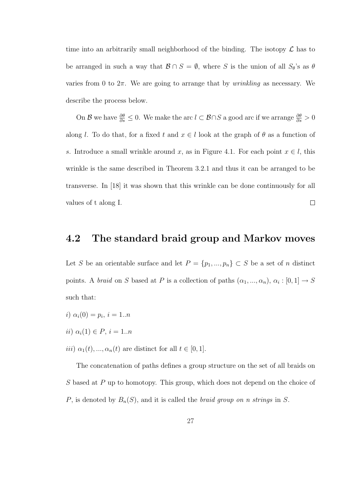time into an arbitrarily small neighborhood of the binding. The isotopy  $\mathcal L$  has to be arranged in such a way that  $\mathcal{B} \cap S = \emptyset$ , where S is the union of all  $S_{\theta}$ 's as  $\theta$ varies from 0 to  $2\pi$ . We are going to arrange that by *wrinkling* as necessary. We describe the process below.

On B we have  $\frac{\partial \theta}{\partial s} \leq 0$ . We make the arc  $l \subset \mathcal{B} \cap S$  a good arc if we arrange  $\frac{\partial \theta}{\partial s} > 0$ along l. To do that, for a fixed t and  $x \in l$  look at the graph of  $\theta$  as a function of s. Introduce a small wrinkle around x, as in Figure 4.1. For each point  $x \in l$ , this wrinkle is the same described in Theorem 3.2.1 and thus it can be arranged to be transverse. In [18] it was shown that this wrinkle can be done continuously for all values of t along I.  $\Box$ 

#### 4.2 The standard braid group and Markov moves

Let S be an orientable surface and let  $P = \{p_1, ..., p_n\} \subset S$  be a set of n distinct points. A *braid* on S based at P is a collection of paths  $(\alpha_1, ..., \alpha_n), \alpha_i : [0, 1] \rightarrow S$ such that:

- i)  $\alpha_i(0) = p_i, i = 1..n$
- ii)  $\alpha_i(1) \in P, i = 1..n$
- *iii*)  $\alpha_1(t), \ldots, \alpha_n(t)$  are distinct for all  $t \in [0, 1]$ .

The concatenation of paths defines a group structure on the set of all braids on S based at P up to homotopy. This group, which does not depend on the choice of P, is denoted by  $B_n(S)$ , and it is called the *braid group on n strings* in S.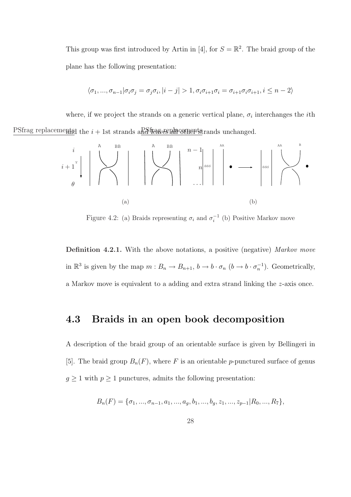This group was first introduced by Artin in [4], for  $S = \mathbb{R}^2$ . The braid group of the plane has the following presentation:

$$
\langle \sigma_1, ..., \sigma_{n-1} | \sigma_i \sigma_j = \sigma_j \sigma_i, |i - j| > 1, \sigma_i \sigma_{i+1} \sigma_i = \sigma_{i+1} \sigma_i \sigma_{i+1}, i \leq n - 2 \rangle
$$

where, if we project the strands on a generic vertical plane,  $\sigma_i$  interchanges the *i*th PSfrag replacements the  $i + 1$ st strands and the strands unchanged.



Figure 4.2: (a) Braids representing  $\sigma_i$  and  $\sigma_i^{-1}$  (b) Positive Markov move

Definition 4.2.1. With the above notations, a positive (negative) Markov move in  $\mathbb{R}^3$  is given by the map  $m : B_n \to B_{n+1}$ ,  $b \to b \cdot \sigma_n$   $(b \to b \cdot \sigma_n^{-1})$ . Geometrically, a Markov move is equivalent to a adding and extra strand linking the z-axis once.

#### 4.3 Braids in an open book decomposition

A description of the braid group of an orientable surface is given by Bellingeri in [5]. The braid group  $B_n(F)$ , where F is an orientable p-punctured surface of genus  $g \geq 1$  with  $p \geq 1$  punctures, admits the following presentation:

$$
B_n(F) = \{\sigma_1, \ldots, \sigma_{n-1}, a_1, \ldots, a_g, b_1, \ldots, b_g, z_1, \ldots, z_{p-1} | R_0, \ldots, R_7\},\
$$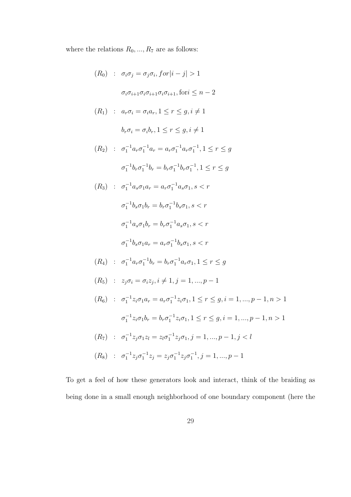where the relations  $R_0,...,R_7$  are as follows:

$$
(R_0) : \sigma_i \sigma_j = \sigma_j \sigma_i, \text{ for } |i - j| > 1
$$
\n
$$
\sigma_i \sigma_{i+1} \sigma_i \sigma_{i+1} \sigma_i \sigma_{i+1}, \text{ for } i \leq n - 2
$$
\n
$$
(R_1) : a_r \sigma_i = \sigma_i a_r, 1 \leq r \leq g, i \neq 1
$$
\n
$$
b_r \sigma_i = \sigma_i b_r, 1 \leq r \leq g, i \neq 1
$$
\n
$$
(R_2) : \sigma_1^{-1} a_r \sigma_1^{-1} a_r = a_r \sigma_1^{-1} a_r \sigma_1^{-1}, 1 \leq r \leq g
$$
\n
$$
\sigma_1^{-1} b_r \sigma_1^{-1} b_r = b_r \sigma_1^{-1} b_r \sigma_1^{-1}, 1 \leq r \leq g
$$
\n
$$
(R_3) : \sigma_1^{-1} a_s \sigma_1 a_r = a_r \sigma_1^{-1} a_s \sigma_1, s < r
$$
\n
$$
\sigma_1^{-1} b_s \sigma_1 b_r = b_r \sigma_1^{-1} b_s \sigma_1, s < r
$$
\n
$$
\sigma_1^{-1} a_s \sigma_1 b_r = b_r \sigma_1^{-1} a_s \sigma_1, s < r
$$
\n
$$
\sigma_1^{-1} a_s \sigma_1 b_r = a_r \sigma_1^{-1} b_s \sigma_1, s < r
$$
\n
$$
(R_4) : \sigma_1^{-1} a_r \sigma_1^{-1} b_r = a_r \sigma_1^{-1} a_r \sigma_1, 1 \leq r \leq g
$$
\n
$$
(R_5) : z_j \sigma_i = \sigma_i z_j, i \neq 1, j = 1, ..., p - 1
$$
\n
$$
(R_6) : \sigma_1^{-1} z_i \sigma_1 a_r = a_r \sigma_1^{-1} z_i \sigma_1, 1 \leq r \leq g, i = 1, ..., p - 1, n > 1
$$
\n
$$
\sigma_1^{-1} z_i \sigma_1 b_r = b_r \sigma_1^{-1} z_i \sigma_1, 1 \leq r \leq g, i = 1, ..., p - 1, n > 1
$$
\n
$$
(R_6) : \sigma_1^{-1} z_j \sigma_1 z_l = z_l \sigma_
$$

To get a feel of how these generators look and interact, think of the braiding as being done in a small enough neighborhood of one boundary component (here the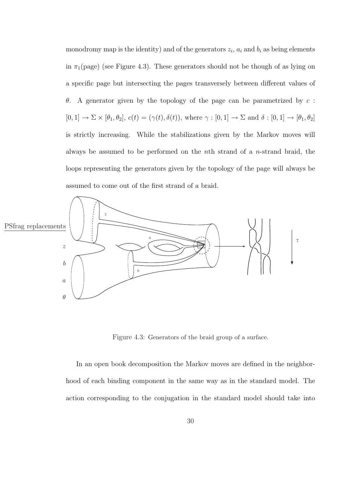monodromy map is the identity) and of the generators  $z_i$ ,  $a_i$  and  $b_i$  as being elements in  $\pi_1$ (page) (see Figure 4.3). These generators should not be though of as lying on a specific page but intersecting the pages transversely between different values of θ. A generator given by the topology of the page can be parametrized by c :  $[0,1] \to \Sigma \times [\theta_1, \theta_2], c(t) = (\gamma(t), \delta(t)),$  where  $\gamma : [0,1] \to \Sigma$  and  $\delta : [0,1] \to [\theta_1, \theta_2]$ is strictly increasing. While the stabilizations given by the Markov moves will always be assumed to be performed on the nth strand of a n-strand braid, the loops representing the generators given by the topology of the page will always be assumed to come out of the first strand of a braid.



Figure 4.3: Generators of the braid group of a surface.

In an open book decomposition the Markov moves are defined in the neighborhood of each binding component in the same way as in the standard model. The action corresponding to the conjugation in the standard model should take into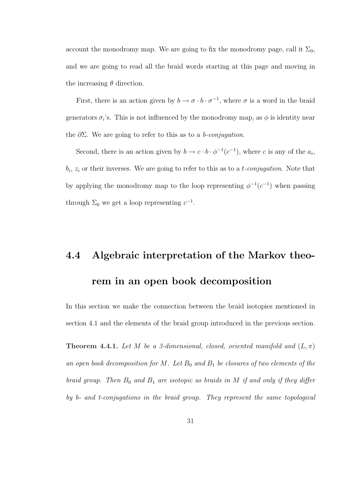account the monodromy map. We are going to fix the monodromy page, call it  $\Sigma_0$ , and we are going to read all the braid words starting at this page and moving in the increasing  $\theta$  direction.

First, there is an action given by  $b \to \sigma \cdot b \cdot \sigma^{-1}$ , where  $\sigma$  is a word in the braid generators  $\sigma_i$ 's. This is not influenced by the monodromy map, as  $\phi$  is identity near the  $\partial \Sigma$ . We are going to refer to this as to a *b-conjugation*.

Second, there is an action given by  $b \to c \cdot b \cdot \phi^{-1}(c^{-1})$ , where c is any of the  $a_i$ ,  $b_i$ ,  $z_i$  or their inverses. We are going to refer to this as to a *t*-conjugation. Note that by applying the monodromy map to the loop representing  $\phi^{-1}(c^{-1})$  when passing through  $\Sigma_0$  we get a loop representing  $c^{-1}$ .

## 4.4 Algebraic interpretation of the Markov theorem in an open book decomposition

In this section we make the connection between the braid isotopies mentioned in section 4.1 and the elements of the braid group introduced in the previous section.

**Theorem 4.4.1.** Let M be a 3-dimensional, closed, oriented manifold and  $(L, \pi)$ an open book decomposition for M. Let  $B_0$  and  $B_1$  be closures of two elements of the braid group. Then  $B_0$  and  $B_1$  are isotopic as braids in M if and only if they differ by b- and t-conjugations in the braid group. They represent the same topological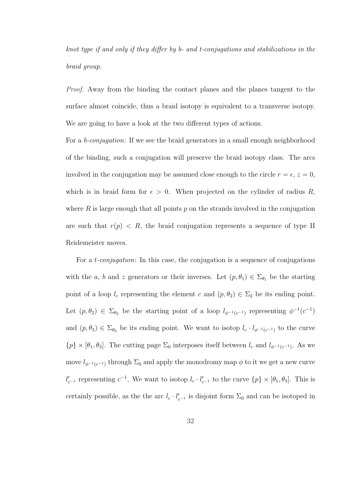knot type if and only if they differ by b- and t-conjugations and stabilizations in the braid group.

Proof. Away from the binding the contact planes and the planes tangent to the surface almost coincide, thus a braid isotopy is equivalent to a transverse isotopy. We are going to have a look at the two different types of actions.

For a b-conjugation: If we see the braid generators in a small enough neighborhood of the binding, such a conjugation will preserve the braid isotopy class. The arcs involved in the conjugation may be assumed close enough to the circle  $r = \epsilon$ ,  $z = 0$ , which is in braid form for  $\epsilon > 0$ . When projected on the cylinder of radius R, where  $R$  is large enough that all points  $p$  on the strands involved in the conjugation are such that  $r(p) < R$ , the braid conjugation represents a sequence of type II Reidemeister moves.

For a *t-conjugation*: In this case, the conjugation is a sequence of conjugations with the a, b and z generators or their inverses. Let  $(p, \theta_1) \in \Sigma_{\theta_1}$  be the starting point of a loop  $l_c$  representing the element c and  $(p, \theta_2) \in \Sigma_2$  be its ending point. Let  $(p, \theta_2) \in \Sigma_{\theta_2}$  be the starting point of a loop  $l_{\phi^{-1}(c^{-1})}$  representing  $\phi^{-1}(c^{-1})$ and  $(p, \theta_3) \in \Sigma_{\theta_3}$  be its ending point. We want to isotop  $l_c \cdot l_{\phi^{-1}(c^{-1})}$  to the curve  $\{p\} \times [\theta_1, \theta_3]$ . The cutting page  $\Sigma_0$  interposes itself between  $l_c$  and  $l_{\phi^{-1}(c^{-1})}$ . As we move  $l_{\phi^{-1}(c^{-1})}$  through  $\Sigma_0$  and apply the monodromy map  $\phi$  to it we get a new curve  $l'_{c^{-1}}$  representing  $c^{-1}$ . We want to isotop  $l_c \cdot l'_{c^{-1}}$  to the curve  $\{p\} \times [\theta_1, \theta_3]$ . This is certainly possible, as the the arc  $l_c \cdot l'_{c^{-1}}$  is disjoint form  $\Sigma_0$  and can be isotoped in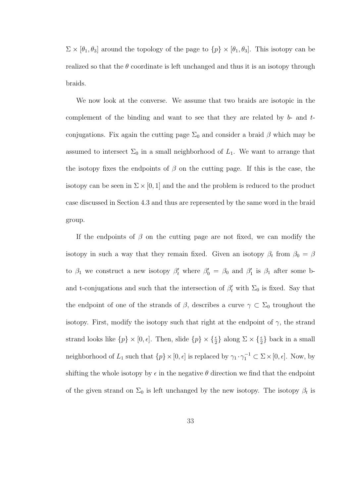$\Sigma \times [\theta_1, \theta_3]$  around the topology of the page to  $\{p\} \times [\theta_1, \theta_3]$ . This isotopy can be realized so that the  $\theta$  coordinate is left unchanged and thus it is an isotopy through braids.

We now look at the converse. We assume that two braids are isotopic in the complement of the binding and want to see that they are related by b- and tconjugations. Fix again the cutting page  $\Sigma_0$  and consider a braid  $\beta$  which may be assumed to intersect  $\Sigma_0$  in a small neighborhood of  $L_1$ . We want to arrange that the isotopy fixes the endpoints of  $\beta$  on the cutting page. If this is the case, the isotopy can be seen in  $\Sigma \times [0, 1]$  and the and the problem is reduced to the product case discussed in Section 4.3 and thus are represented by the same word in the braid group.

If the endpoints of  $\beta$  on the cutting page are not fixed, we can modify the isotopy in such a way that they remain fixed. Given an isotopy  $\beta_t$  from  $\beta_0 = \beta$ to  $\beta_1$  we construct a new isotopy  $\beta'_t$  where  $\beta'_0 = \beta_0$  and  $\beta'_1$  is  $\beta_1$  after some band t-conjugations and such that the intersection of  $\beta'_{t}$  with  $\Sigma_{0}$  is fixed. Say that the endpoint of one of the strands of  $\beta$ , describes a curve  $\gamma \subset \Sigma_0$  troughout the isotopy. First, modify the isotopy such that right at the endpoint of  $\gamma$ , the strand strand looks like  $\{p\} \times [0, \epsilon]$ . Then, slide  $\{p\} \times \{\frac{\epsilon}{2}\}\$ along  $\Sigma \times \{\frac{\epsilon}{2}\}\$ back in a small neighborhood of  $L_1$  such that  $\{p\} \times [0, \epsilon]$  is replaced by  $\gamma_1 \cdot \gamma_1^{-1} \subset \Sigma \times [0, \epsilon]$ . Now, by shifting the whole isotopy by  $\epsilon$  in the negative  $\theta$  direction we find that the endpoint of the given strand on  $\Sigma_0$  is left unchanged by the new isotopy. The isotopy  $\beta_t$  is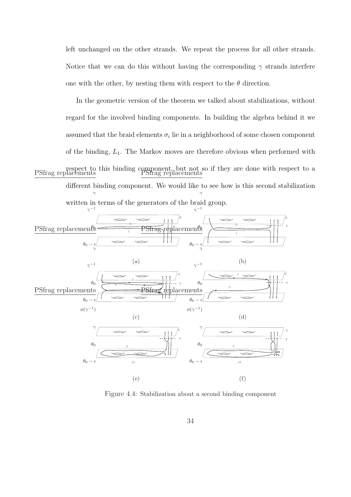left unchanged on the other strands. We repeat the process for all other strands. Notice that we can do this without having the corresponding  $\gamma$  strands interfere one with the other, by nesting them with respect to the  $\theta$  direction.

In the geometric version of the theorem we talked about stabilizations, without regard for the involved binding components. In building the algebra behind it we assumed that the braid elements  $\sigma_i$  lie in a neighborhood of some chosen component of the binding,  $L_1$ . The Markov moves are therefore obvious when performed with respect to this binding component, but not so if they are done with respect to a PSfrag replacements PSfrag replacements different binding component. We would like to see how is this second stabilization written in terms of the generators of the braid group. γ γ



Figure 4.4: Stabilization about a second binding component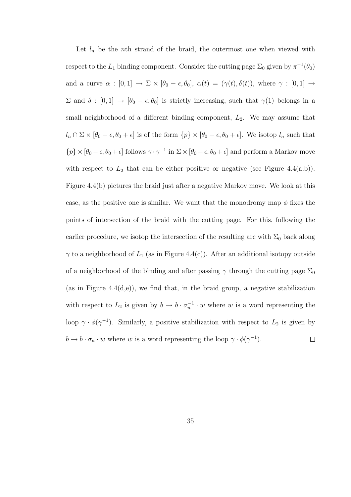Let  $l_n$  be the nth strand of the braid, the outermost one when viewed with respect to the  $L_1$  binding component. Consider the cutting page  $\Sigma_0$  given by  $\pi^{-1}(\theta_0)$ and a curve  $\alpha : [0,1] \to \Sigma \times [\theta_0 - \epsilon, \theta_0], \alpha(t) = (\gamma(t), \delta(t)),$  where  $\gamma : [0,1] \to$  $\Sigma$  and  $\delta : [0,1] \to [\theta_0 - \epsilon, \theta_0]$  is strictly increasing, such that  $\gamma(1)$  belongs in a small neighborhood of a different binding component,  $L_2$ . We may assume that  $l_n \cap \Sigma \times [\theta_0 - \epsilon, \theta_0 + \epsilon]$  is of the form  $\{p\} \times [\theta_0 - \epsilon, \theta_0 + \epsilon]$ . We isotop  $l_n$  such that  $\{p\} \times [\theta_0 - \epsilon, \theta_0 + \epsilon]$  follows  $\gamma \cdot \gamma^{-1}$  in  $\Sigma \times [\theta_0 - \epsilon, \theta_0 + \epsilon]$  and perform a Markov move with respect to  $L_2$  that can be either positive or negative (see Figure 4.4(a,b)). Figure 4.4(b) pictures the braid just after a negative Markov move. We look at this case, as the positive one is similar. We want that the monodromy map  $\phi$  fixes the points of intersection of the braid with the cutting page. For this, following the earlier procedure, we isotop the intersection of the resulting arc with  $\Sigma_0$  back along  $\gamma$  to a neighborhood of  $L_1$  (as in Figure 4.4(c)). After an additional isotopy outside of a neighborhood of the binding and after passing  $\gamma$  through the cutting page  $\Sigma_0$ (as in Figure 4.4(d,e)), we find that, in the braid group, a negative stabilization with respect to  $L_2$  is given by  $b \to b \cdot \sigma_n^{-1} \cdot w$  where w is a word representing the loop  $\gamma \cdot \phi(\gamma^{-1})$ . Similarly, a positive stabilization with respect to  $L_2$  is given by  $b \to b \cdot \sigma_n \cdot w$  where w is a word representing the loop  $\gamma \cdot \phi(\gamma^{-1})$ .  $\Box$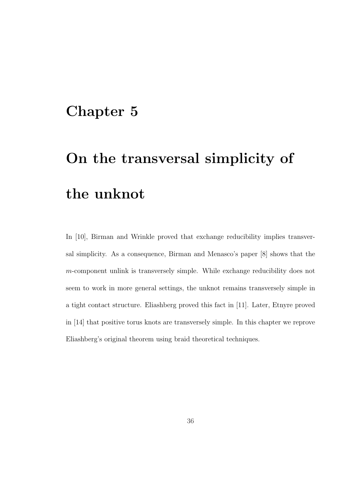### Chapter 5

# On the transversal simplicity of the unknot

In [10], Birman and Wrinkle proved that exchange reducibility implies transversal simplicity. As a consequence, Birman and Menasco's paper [8] shows that the m-component unlink is transversely simple. While exchange reducibility does not seem to work in more general settings, the unknot remains transversely simple in a tight contact structure. Eliashberg proved this fact in [11]. Later, Etnyre proved in [14] that positive torus knots are transversely simple. In this chapter we reprove Eliashberg's original theorem using braid theoretical techniques.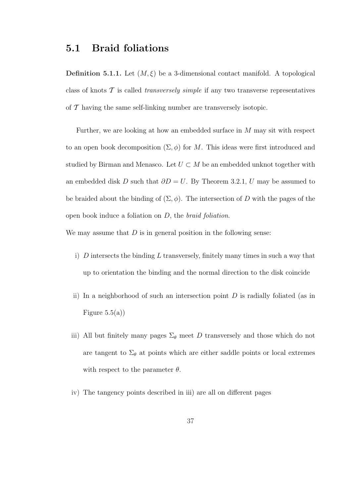#### 5.1 Braid foliations

**Definition 5.1.1.** Let  $(M, \xi)$  be a 3-dimensional contact manifold. A topological class of knots  $\mathcal T$  is called *transversely simple* if any two transverse representatives of  $\mathcal T$  having the same self-linking number are transversely isotopic.

Further, we are looking at how an embedded surface in M may sit with respect to an open book decomposition  $(\Sigma, \phi)$  for M. This ideas were first introduced and studied by Birman and Menasco. Let  $U \subset M$  be an embedded unknot together with an embedded disk D such that  $\partial D = U$ . By Theorem 3.2.1, U may be assumed to be braided about the binding of  $(\Sigma, \phi)$ . The intersection of D with the pages of the open book induce a foliation on  $D$ , the *braid foliation*.

We may assume that  $D$  is in general position in the following sense:

- i)  $D$  intersects the binding  $L$  transversely, finitely many times in such a way that up to orientation the binding and the normal direction to the disk coincide
- ii) In a neighborhood of such an intersection point  $D$  is radially foliated (as in Figure  $5.5(a)$
- iii) All but finitely many pages  $\Sigma_{\theta}$  meet D transversely and those which do not are tangent to  $\Sigma_{\theta}$  at points which are either saddle points or local extremes with respect to the parameter  $\theta$ .
- iv) The tangency points described in iii) are all on different pages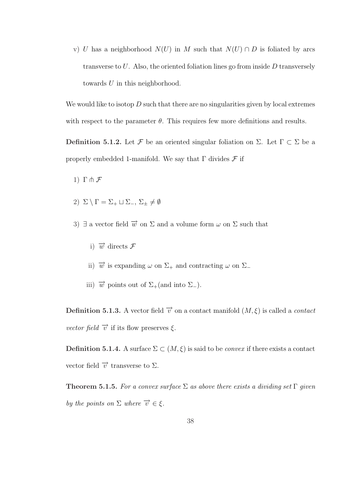v) U has a neighborhood  $N(U)$  in M such that  $N(U) \cap D$  is foliated by arcs transverse to  $U$ . Also, the oriented foliation lines go from inside  $D$  transversely towards U in this neighborhood.

We would like to isotop  $D$  such that there are no singularities given by local extremes with respect to the parameter  $\theta$ . This requires few more definitions and results.

Definition 5.1.2. Let F be an oriented singular foliation on  $\Sigma$ . Let  $\Gamma \subset \Sigma$  be a properly embedded 1-manifold. We say that  $\Gamma$  divides  $\mathcal F$  if

- 1)  $\Gamma \pitchfork \mathcal{F}$
- 2)  $\Sigma \setminus \Gamma = \Sigma_+ \sqcup \Sigma_-, \Sigma_{\pm} \neq \emptyset$
- 3)  $\exists$  a vector field  $\overrightarrow{w}$  on  $\Sigma$  and a volume form  $\omega$  on  $\Sigma$  such that
	- i)  $\overrightarrow{w}$  directs  $\mathcal F$
	- ii)  $\vec{w}$  is expanding  $\omega$  on  $\Sigma_+$  and contracting  $\omega$  on  $\Sigma_-$
	- iii)  $\vec{w}$  points out of  $\Sigma_+$ (and into  $\Sigma_-$ ).

**Definition 5.1.3.** A vector field  $\vec{v}$  on a contact manifold  $(M, \xi)$  is called a *contact* vector field  $\vec{v}$  if its flow preserves  $\xi$ .

Definition 5.1.4. A surface  $\Sigma \subset (M, \xi)$  is said to be *convex* if there exists a contact vector field  $\overrightarrow{v}$  transverse to  $\Sigma$ .

**Theorem 5.1.5.** For a convex surface  $\Sigma$  as above there exists a dividing set  $\Gamma$  given by the points on  $\Sigma$  where  $\overrightarrow{v} \in \xi$ .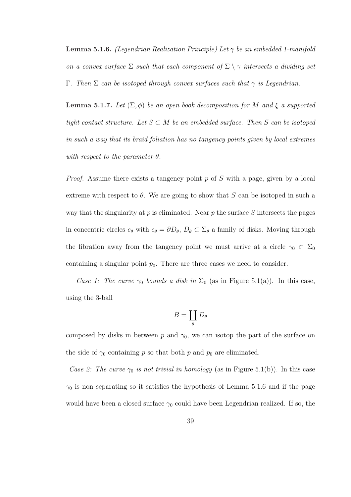**Lemma 5.1.6.** (Legendrian Realization Principle) Let  $\gamma$  be an embedded 1-manifold on a convex surface  $\Sigma$  such that each component of  $\Sigma \setminus \gamma$  intersects a dividing set Γ. Then Σ can be isotoped through convex surfaces such that  $γ$  is Legendrian.

**Lemma 5.1.7.** Let  $(\Sigma, \phi)$  be an open book decomposition for M and  $\xi$  a supported tight contact structure. Let  $S \subset M$  be an embedded surface. Then S can be isotoped in such a way that its braid foliation has no tangency points given by local extremes with respect to the parameter  $\theta$ .

*Proof.* Assume there exists a tangency point p of S with a page, given by a local extreme with respect to  $\theta$ . We are going to show that S can be isotoped in such a way that the singularity at p is eliminated. Near p the surface  $S$  intersects the pages in concentric circles  $c_{\theta}$  with  $c_{\theta} = \partial D_{\theta}$ ,  $D_{\theta} \subset \Sigma_{\theta}$  a family of disks. Moving through the fibration away from the tangency point we must arrive at a circle  $\gamma_0 \subset \Sigma_0$ containing a singular point  $p_0$ . There are three cases we need to consider.

Case 1: The curve  $\gamma_0$  bounds a disk in  $\Sigma_0$  (as in Figure 5.1(a)). In this case, using the 3-ball

$$
B=\coprod_{\theta} D_{\theta}
$$

composed by disks in between p and  $\gamma_0$ , we can isotop the part of the surface on the side of  $\gamma_0$  containing p so that both p and  $p_0$  are eliminated.

Case 2: The curve  $\gamma_0$  is not trivial in homology (as in Figure 5.1(b)). In this case  $\gamma_0$  is non separating so it satisfies the hypothesis of Lemma 5.1.6 and if the page would have been a closed surface  $\gamma_0$  could have been Legendrian realized. If so, the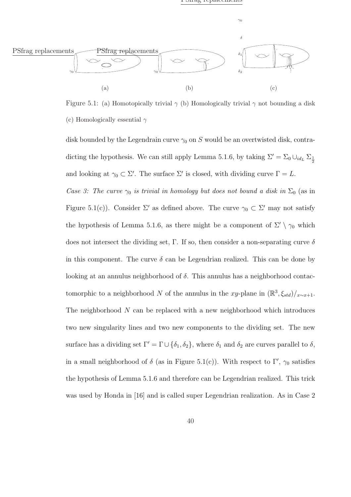

Figure 5.1: (a) Homotopically trivial  $\gamma$  (b) Homologically trivial  $\gamma$  not bounding a disk (c) Homologically essential  $\gamma$ 

disk bounded by the Legendrain curve  $\gamma_0$  on S would be an overtwisted disk, contradicting the hypothesis. We can still apply Lemma 5.1.6, by taking  $\Sigma' = \Sigma_0 \cup_{id_L} \Sigma_{\frac{1}{2}}$ and looking at  $\gamma_0 \subset \Sigma'$ . The surface  $\Sigma'$  is closed, with dividing curve  $\Gamma = L$ .

Case 3: The curve  $\gamma_0$  is trivial in homology but does not bound a disk in  $\Sigma_0$  (as in Figure 5.1(c)). Consider  $\Sigma'$  as defined above. The curve  $\gamma_0 \subset \Sigma'$  may not satisfy the hypothesis of Lemma 5.1.6, as there might be a component of  $\Sigma' \setminus \gamma_0$  which does not intersect the dividing set, Γ. If so, then consider a non-separating curve  $\delta$ in this component. The curve  $\delta$  can be Legendrian realized. This can be done by looking at an annulus neighborhood of  $\delta$ . This annulus has a neighborhood contactomorphic to a neighborhood N of the annulus in the xy-plane in  $(\mathbb{R}^3, \xi_{std})/_{x \sim x+1}$ . The neighborhood  $N$  can be replaced with a new neighborhood which introduces two new singularity lines and two new components to the dividing set. The new surface has a dividing set  $\Gamma' = \Gamma \cup \{\delta_1, \delta_2\}$ , where  $\delta_1$  and  $\delta_2$  are curves parallel to  $\delta$ , in a small neighborhood of  $\delta$  (as in Figure 5.1(c)). With respect to  $\Gamma'$ ,  $\gamma_0$  satisfies the hypothesis of Lemma 5.1.6 and therefore can be Legendrian realized. This trick was used by Honda in [16] and is called super Legendrian realization. As in Case 2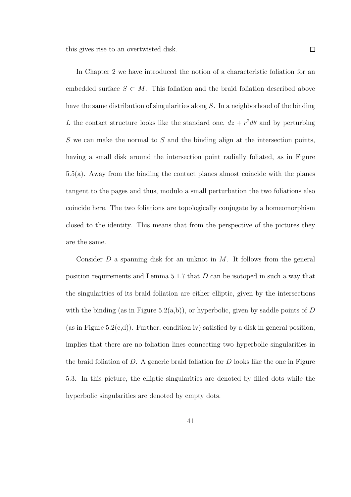this gives rise to an overtwisted disk.

In Chapter 2 we have introduced the notion of a characteristic foliation for an embedded surface  $S \subset M$ . This foliation and the braid foliation described above have the same distribution of singularities along S. In a neighborhood of the binding L the contact structure looks like the standard one,  $dz + r^2 d\theta$  and by perturbing  $S$  we can make the normal to  $S$  and the binding align at the intersection points, having a small disk around the intersection point radially foliated, as in Figure 5.5(a). Away from the binding the contact planes almost coincide with the planes tangent to the pages and thus, modulo a small perturbation the two foliations also coincide here. The two foliations are topologically conjugate by a homeomorphism closed to the identity. This means that from the perspective of the pictures they are the same.

Consider  $D$  a spanning disk for an unknot in  $M$ . It follows from the general position requirements and Lemma 5.1.7 that D can be isotoped in such a way that the singularities of its braid foliation are either elliptic, given by the intersections with the binding (as in Figure 5.2(a,b)), or hyperbolic, given by saddle points of  $D$ (as in Figure 5.2(c,d)). Further, condition iv) satisfied by a disk in general position, implies that there are no foliation lines connecting two hyperbolic singularities in the braid foliation of  $D$ . A generic braid foliation for  $D$  looks like the one in Figure 5.3. In this picture, the elliptic singularities are denoted by filled dots while the hyperbolic singularities are denoted by empty dots.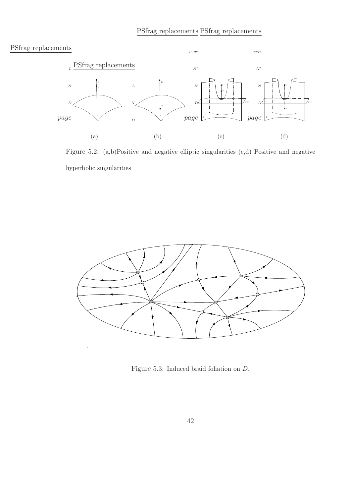

Figure 5.2: (a,b)Positive and negative elliptic singularities (c,d) Positive and negative hyperbolic singularities



Figure 5.3: Induced braid foliation on D.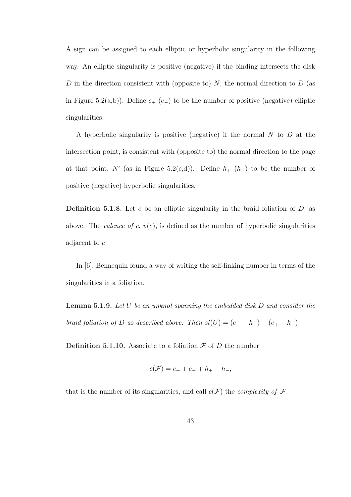A sign can be assigned to each elliptic or hyperbolic singularity in the following way. An elliptic singularity is positive (negative) if the binding intersects the disk D in the direction consistent with (opposite to)  $N$ , the normal direction to  $D$  (as in Figure 5.2(a,b)). Define  $e_{+}$  ( $e_{-}$ ) to be the number of positive (negative) elliptic singularities.

A hyperbolic singularity is positive (negative) if the normal N to D at the intersection point, is consistent with (opposite to) the normal direction to the page at that point, N' (as in Figure 5.2(c,d)). Define  $h_{+}$  (h<sub>-</sub>) to be the number of positive (negative) hyperbolic singularities.

**Definition 5.1.8.** Let  $e$  be an elliptic singularity in the braid foliation of  $D$ , as above. The *valence of e,*  $v(e)$ *,* is defined as the number of hyperbolic singularities adjacent to e.

In [6], Bennequin found a way of writing the self-linking number in terms of the singularities in a foliation.

**Lemma 5.1.9.** Let U be an unknot spanning the embedded disk D and consider the braid foliation of D as described above. Then  $sl(U) = (e_{-} - h_{-}) - (e_{+} - h_{+})$ .

**Definition 5.1.10.** Associate to a foliation  $\mathcal F$  of  $D$  the number

$$
c(\mathcal{F}) = e_+ + e_- + h_+ + h_-,
$$

that is the number of its singularities, and call  $c(\mathcal{F})$  the *complexity of*  $\mathcal{F}$ .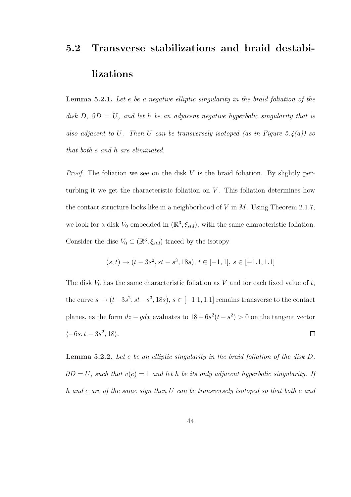## 5.2 Transverse stabilizations and braid destabilizations

Lemma 5.2.1. Let e be a negative elliptic singularity in the braid foliation of the disk D,  $\partial D = U$ , and let h be an adjacent negative hyperbolic singularity that is also adjacent to U. Then U can be transversely isotoped (as in Figure 5.4(a)) so that both e and h are eliminated.

*Proof.* The foliation we see on the disk  $V$  is the braid foliation. By slightly perturbing it we get the characteristic foliation on  $V$ . This foliation determines how the contact structure looks like in a neighborhood of V in  $M$ . Using Theorem 2.1.7, we look for a disk  $V_0$  embedded in  $(\mathbb{R}^3, \xi_{std})$ , with the same characteristic foliation. Consider the disc  $V_0 \subset (\mathbb{R}^3, \xi_{std})$  traced by the isotopy

$$
(s,t) \rightarrow (t-3s^2, st-s^3, 18s), t \in [-1,1], s \in [-1,1,1,1]
$$

The disk  $V_0$  has the same characteristic foliation as V and for each fixed value of  $t$ , the curve  $s \to (t-3s^2, st-s^3, 18s), s \in [-1.1, 1.1]$  remains transverse to the contact planes, as the form  $dz - ydx$  evaluates to  $18 + 6s^2(t - s^2) > 0$  on the tangent vector  $\langle -6s, t-3s^2, 18 \rangle$ .  $\Box$ 

Lemma 5.2.2. Let e be an elliptic singularity in the braid foliation of the disk D,  $\partial D = U$ , such that  $v(e) = 1$  and let h be its only adjacent hyperbolic singularity. If h and e are of the same sign then U can be transversely isotoped so that both e and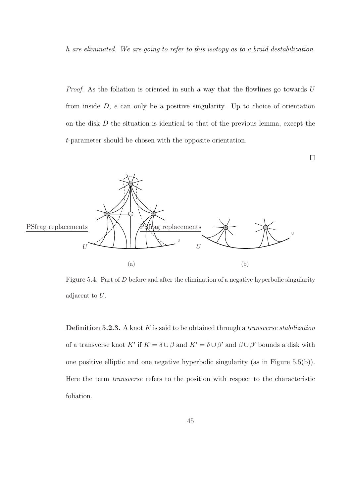h are eliminated. We are going to refer to this isotopy as to a braid destabilization.

Proof. As the foliation is oriented in such a way that the flowlines go towards U from inside  $D$ ,  $e$  can only be a positive singularity. Up to choice of orientation on the disk D the situation is identical to that of the previous lemma, except the t-parameter should be chosen with the opposite orientation.

 $\Box$ 



Figure 5.4: Part of D before and after the elimination of a negative hyperbolic singularity adjacent to U.

**Definition 5.2.3.** A knot  $K$  is said to be obtained through a *transverse stabilization* of a transverse knot K' if  $K = \delta \cup \beta$  and  $K' = \delta \cup \beta'$  and  $\beta \cup \beta'$  bounds a disk with one positive elliptic and one negative hyperbolic singularity (as in Figure 5.5(b)). Here the term transverse refers to the position with respect to the characteristic foliation.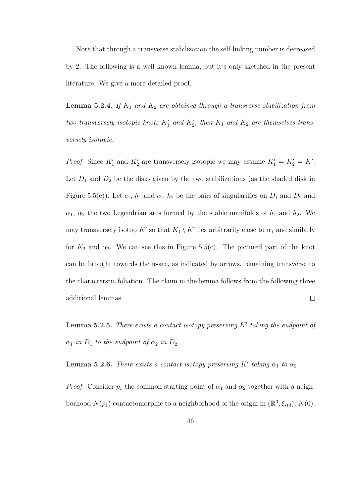Note that through a transverse stabilization the self-linking number is decreased by 2. The following is a well known lemma, but it's only sketched in the present literature. We give a more detailed proof.

**Lemma 5.2.4.** If  $K_1$  and  $K_2$  are obtained through a transverse stabilization from two transversely isotopic knots  $K_1'$  and  $K_2'$ , then  $K_1$  and  $K_2$  are themselves transversely isotopic.

*Proof.* Since  $K_1'$  and  $K_2'$  are transversely isotopic we may assume  $K_1' = K_2' = K'$ . Let  $D_1$  and  $D_2$  be the disks given by the two stabilizations (as the shaded disk in Figure 5.5(c)). Let  $e_1$ ,  $h_1$  and  $e_2$ ,  $h_2$  be the pairs of singularities on  $D_1$  and  $D_2$  and  $\alpha_1$ ,  $\alpha_2$  the two Legendrian arcs formed by the stable manifolds of  $h_1$  and  $h_2$ . We may transversely isotop K' so that  $K_1 \setminus K'$  lies arbitrarily close to  $\alpha_1$  and similarly for  $K_2$  and  $\alpha_2$ . We can see this in Figure 5.5(c). The pictured part of the knot can be brought towards the  $\alpha$ -arc, as indicated by arrows, remaining transverse to the characterstic foliation. The claim in the lemma follows from the following three additional lemmas.  $\Box$ 

**Lemma 5.2.5.** There exists a contact isotopy preserving  $K'$  taking the endpoint of  $\alpha_1$  in  $D_1$  to the endpoint of  $\alpha_2$  in  $D_2$ .

**Lemma 5.2.6.** There exists a contact isotopy preserving K' taking  $\alpha_1$  to  $\alpha_2$ .

*Proof.* Consider  $p_1$  the common starting point of  $\alpha_1$  and  $\alpha_2$  together with a neighborhood  $N(p_1)$  contactomorphic to a neighborhood of the origin in  $(\mathbb{R}^3, \xi_{std})$ ,  $N(0)$ .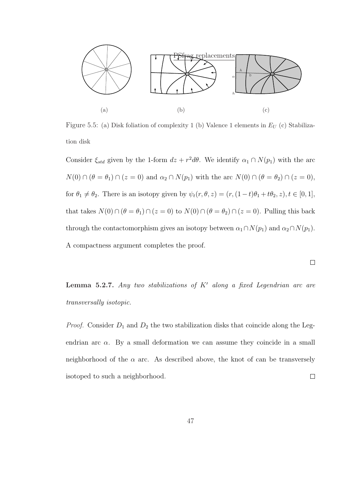

Figure 5.5: (a) Disk foliation of complexity 1 (b) Valence 1 elements in  $E_U$  (c) Stabilization disk

Consider  $\xi_{std}$  given by the 1-form  $dz + r^2 d\theta$ . We identify  $\alpha_1 \cap N(p_1)$  with the arc  $N(0) \cap (\theta = \theta_1) \cap (z = 0)$  and  $\alpha_2 \cap N(p_1)$  with the arc  $N(0) \cap (\theta = \theta_2) \cap (z = 0)$ , for  $\theta_1 \neq \theta_2$ . There is an isotopy given by  $\psi_t(r, \theta, z) = (r, (1-t)\theta_1 + t\theta_2, z), t \in [0, 1],$ that takes  $N(0) \cap (\theta = \theta_1) \cap (z = 0)$  to  $N(0) \cap (\theta = \theta_2) \cap (z = 0)$ . Pulling this back through the contactomorphism gives an isotopy between  $\alpha_1 \cap N(p_1)$  and  $\alpha_2 \cap N(p_1)$ . A compactness argument completes the proof.

**Lemma 5.2.7.** Any two stabilizations of  $K'$  along a fixed Legendrian arc are transversally isotopic.

 $\Box$ 

*Proof.* Consider  $D_1$  and  $D_2$  the two stabilization disks that coincide along the Legendrian arc  $\alpha$ . By a small deformation we can assume they coincide in a small neighborhood of the  $\alpha$  arc. As described above, the knot of can be transversely isotoped to such a neighborhood.  $\Box$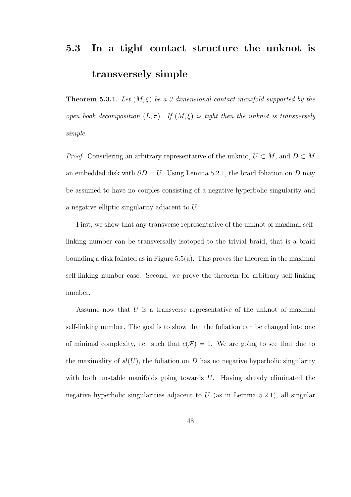## 5.3 In a tight contact structure the unknot is transversely simple

**Theorem 5.3.1.** Let  $(M, \xi)$  be a 3-dimensional contact manifold supported by the open book decomposition  $(L, \pi)$ . If  $(M, \xi)$  is tight then the unknot is transversely simple.

*Proof.* Considering an arbitrary representative of the unknot,  $U \subset M$ , and  $D \subset M$ an embedded disk with  $\partial D = U$ . Using Lemma 5.2.1, the braid foliation on D may be assumed to have no couples consisting of a negative hyperbolic singularity and a negative elliptic singularity adjacent to U.

First, we show that any transverse representative of the unknot of maximal selflinking number can be transversally isotoped to the trivial braid, that is a braid bounding a disk foliated as in Figure 5.5(a). This proves the theorem in the maximal self-linking number case. Second, we prove the theorem for arbitrary self-linking number.

Assume now that U is a transverse representative of the unknot of maximal self-linking number. The goal is to show that the foliation can be changed into one of minimal complexity, i.e. such that  $c(\mathcal{F}) = 1$ . We are going to see that due to the maximality of  $sl(U)$ , the foliation on D has no negative hyperbolic singularity with both unstable manifolds going towards  $U$ . Having already eliminated the negative hyperbolic singularities adjacent to  $U$  (as in Lemma 5.2.1), all singular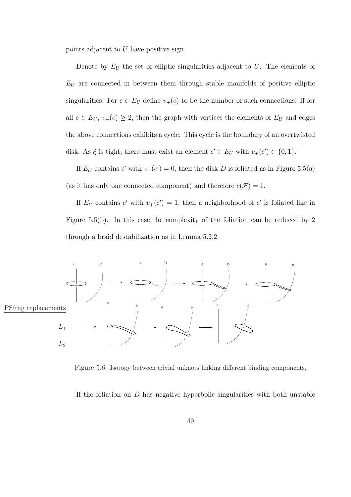points adjacent to U have positive sign.

Denote by  $E_U$  the set of elliptic singularities adjacent to U. The elements of  $E_U$  are connected in between them through stable manifolds of positive elliptic singularities. For  $e \in E_U$  define  $v_+(e)$  to be the number of such connections. If for all  $e \in E_U$ ,  $v_+(e) \geq 2$ , then the graph with vertices the elements of  $E_U$  and edges the above connections exhibits a cycle. This cycle is the boundary of an overtwisted disk. As  $\xi$  is tight, there must exist an element  $e' \in E_U$  with  $v_+(e') \in \{0,1\}$ .

If  $E_U$  contains e' with  $v_+(e')=0$ , then the disk D is foliated as in Figure 5.5(a) (as it has only one connected component) and therefore  $c(\mathcal{F}) = 1$ .

If  $E_U$  contains e' with  $v_+(e') = 1$ , then a neighborhood of e' is foliated like in Figure 5.5(b). In this case the complexity of the foliation can be reduced by 2 through a braid destabilization as in Lemma 5.2.2.



Figure 5.6: Isotopy between trivial unknots linking different binding components.

If the foliation on  $D$  has negative hyperbolic singularities with both unstable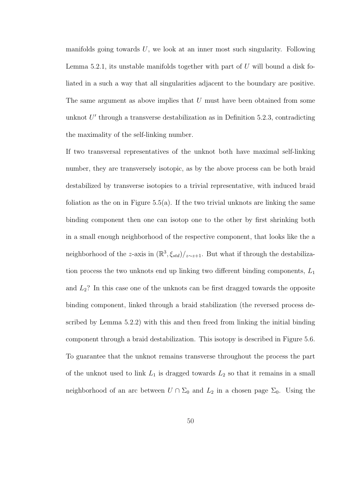manifolds going towards  $U$ , we look at an inner most such singularity. Following Lemma 5.2.1, its unstable manifolds together with part of  $U$  will bound a disk foliated in a such a way that all singularities adjacent to the boundary are positive. The same argument as above implies that  $U$  must have been obtained from some unknot  $U'$  through a transverse destabilization as in Definition 5.2.3, contradicting the maximality of the self-linking number.

If two transversal representatives of the unknot both have maximal self-linking number, they are transversely isotopic, as by the above process can be both braid destabilized by transverse isotopies to a trivial representative, with induced braid foliation as the on in Figure  $5.5(a)$ . If the two trivial unknots are linking the same binding component then one can isotop one to the other by first shrinking both in a small enough neighborhood of the respective component, that looks like the a neighborhood of the z-axis in  $(\mathbb{R}^3, \xi_{std})/_{z \sim z+1}$ . But what if through the destabilization process the two unknots end up linking two different binding components,  $L_1$ and  $L_2$ ? In this case one of the unknots can be first dragged towards the opposite binding component, linked through a braid stabilization (the reversed process described by Lemma 5.2.2) with this and then freed from linking the initial binding component through a braid destabilization. This isotopy is described in Figure 5.6. To guarantee that the unknot remains transverse throughout the process the part of the unknot used to link  $L_1$  is dragged towards  $L_2$  so that it remains in a small neighborhood of an arc between  $U \cap \Sigma_0$  and  $L_2$  in a chosen page  $\Sigma_0$ . Using the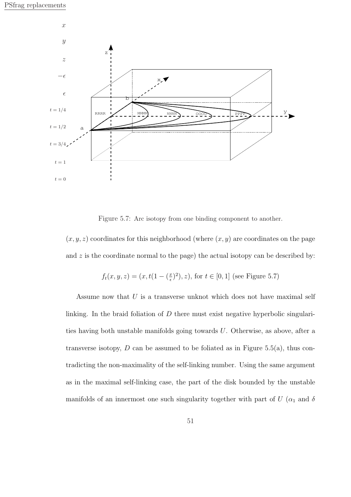

Figure 5.7: Arc isotopy from one binding component to another.

 $(x, y, z)$  coordinates for this neighborhood (where  $(x, y)$  are coordinates on the page and  $z$  is the coordinate normal to the page) the actual isotopy can be described by:

$$
f_t(x, y, z) = (x, t(1 - (\frac{x}{\epsilon})^2), z)
$$
, for  $t \in [0, 1]$  (see Figure 5.7)

Assume now that  $U$  is a transverse unknot which does not have maximal self linking. In the braid foliation of D there must exist negative hyperbolic singularities having both unstable manifolds going towards U. Otherwise, as above, after a transverse isotopy,  $D$  can be assumed to be foliated as in Figure 5.5(a), thus contradicting the non-maximality of the self-linking number. Using the same argument as in the maximal self-linking case, the part of the disk bounded by the unstable manifolds of an innermost one such singularity together with part of  $U$  ( $\alpha_1$  and  $\delta$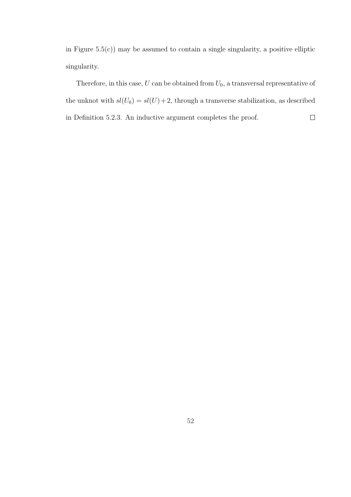in Figure  $5.5(c)$  may be assumed to contain a single singularity, a positive elliptic singularity.

Therefore, in this case,  $U$  can be obtained from  ${\cal U}_0,$  a transversal representative of the unknot with  $sl(U_0) = sl(U) + 2$ , through a transverse stabilization, as described  $\Box$ in Definition 5.2.3. An inductive argument completes the proof.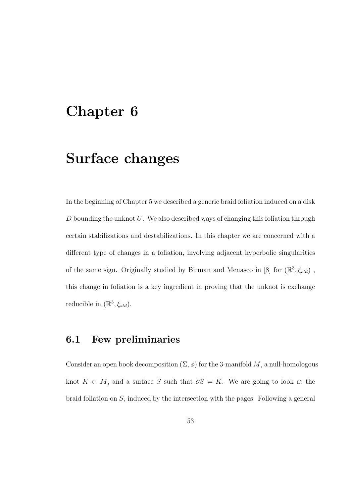## Chapter 6

## Surface changes

In the beginning of Chapter 5 we described a generic braid foliation induced on a disk  $D$  bounding the unknot  $U$ . We also described ways of changing this foliation through certain stabilizations and destabilizations. In this chapter we are concerned with a different type of changes in a foliation, involving adjacent hyperbolic singularities of the same sign. Originally studied by Birman and Menasco in [8] for  $(\mathbb{R}^3, \xi_{std})$ , this change in foliation is a key ingredient in proving that the unknot is exchange reducible in  $(\mathbb{R}^3, \xi_{std})$ .

#### 6.1 Few preliminaries

Consider an open book decomposition  $(\Sigma, \phi)$  for the 3-manifold M, a null-homologous knot  $K \subset M$ , and a surface S such that  $\partial S = K$ . We are going to look at the braid foliation on S, induced by the intersection with the pages. Following a general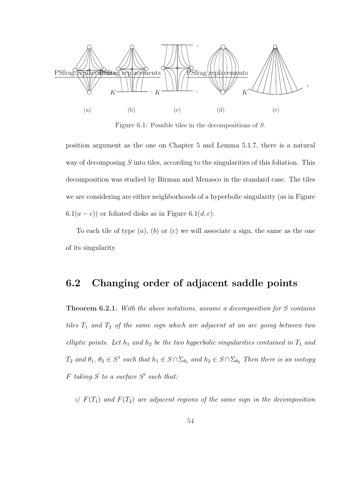

Figure 6.1: Possible tiles in the decompositions of S.

position argument as the one on Chapter 5 and Lemma 5.1.7, there is a natural way of decomposing S into tiles, according to the singularities of this foliation. This decomposition was studied by Birman and Menasco in the standard case. The tiles we are considering are either neighborhoods of a hyperbolic singularity (as in Figure  $6.1(a - c)$  or foliated disks as in Figure 6.1(d, e).

To each tile of type  $(a)$ ,  $(b)$  or  $(c)$  we will associate a sign, the same as the one of its singularity.

#### 6.2 Changing order of adjacent saddle points

Theorem 6.2.1. With the above notations, assume a decomposition for S contains tiles  $T_1$  and  $T_2$  of the same sign which are adjacent at an arc going between two elliptic points. Let  $h_1$  and  $h_2$  be the two hyperbolic singularities contained in  $T_1$  and  $T_2$  and  $\theta_1, \theta_2 \in S^1$  such that  $h_1 \in S \cap \Sigma_{\theta_1}$  and  $h_2 \in S \cap \Sigma_{\theta_2}$  Then there is an isotopy  $F$  taking  $S$  to a surface  $S'$  such that:

i)  $F(T_1)$  and  $F(T_2)$  are adjacent regions of the same sign in the decomposition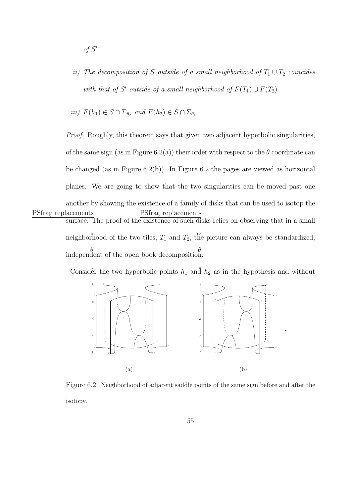- $of S'$
- ii) The decomposition of S outside of a small neighborhood of  $T_1 \cup T_2$  coincides with that of S' outside of a small neighborhood of  $F(T_1) \cup F(T_2)$

*iii)* 
$$
F(h_1) \in S \cap \Sigma_{\theta_2}
$$
 and  $F(h_2) \in S \cap \Sigma_{\theta_1}$ 

Proof. Roughly, this theorem says that given two adjacent hyperbolic singularities, of the same sign (as in Figure 6.2(a)) their order with respect to the  $\theta$  coordinate can be changed (as in Figure 6.2(b)). In Figure 6.2 the pages are viewed as horizontal planes. We are going to show that the two singularities can be moved past one another by showing the existence of a family of disks that can be used to isotop the surface. The proof of the existence of such disks relies on observing that in a small neighborhood of the two tiles,  $T_1$  and  $T_2$ , the picture can always be standardized, independent of the open book decomposition. PSfrag replacements  $\theta$   $\theta$ PSfrag replacements

Consider the two hyperbolic points  $h_1$  and  $h_2$  as in the hypothesis and without



Figure 6.2: Neighborhood of adjacent saddle points of the same sign before and after the isotopy.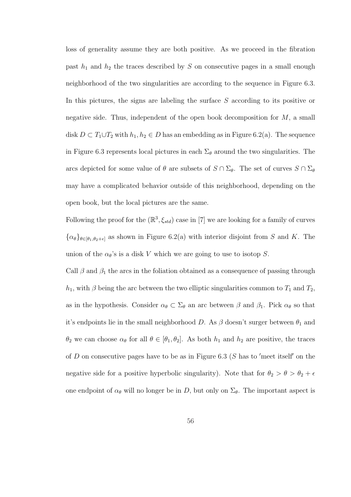loss of generality assume they are both positive. As we proceed in the fibration past  $h_1$  and  $h_2$  the traces described by S on consecutive pages in a small enough neighborhood of the two singularities are according to the sequence in Figure 6.3. In this pictures, the signs are labeling the surface S according to its positive or negative side. Thus, independent of the open book decomposition for  $M$ , a small disk  $D \subset T_1 \cup T_2$  with  $h_1, h_2 \in D$  has an embedding as in Figure 6.2(a). The sequence in Figure 6.3 represents local pictures in each  $\Sigma_{\theta}$  around the two singularities. The arcs depicted for some value of  $\theta$  are subsets of  $S \cap \Sigma_{\theta}$ . The set of curves  $S \cap \Sigma_{\theta}$ may have a complicated behavior outside of this neighborhood, depending on the open book, but the local pictures are the same.

Following the proof for the  $(\mathbb{R}^3, \xi_{std})$  case in [7] we are looking for a family of curves  ${\{\alpha_\theta\}_{\theta\in[\theta_1,\theta_2+\epsilon]}}$  as shown in Figure 6.2(a) with interior disjoint from S and K. The union of the  $\alpha_{\theta}$ 's is a disk V which we are going to use to isotop S.

Call  $\beta$  and  $\beta_1$  the arcs in the foliation obtained as a consequence of passing through  $h_1$ , with  $\beta$  being the arc between the two elliptic singularities common to  $T_1$  and  $T_2$ , as in the hypothesis. Consider  $\alpha_{\theta} \subset \Sigma_{\theta}$  an arc between  $\beta$  and  $\beta_1$ . Pick  $\alpha_{\theta}$  so that it's endpoints lie in the small neighborhood D. As  $\beta$  doesn't surger between  $\theta_1$  and  $\theta_2$  we can choose  $\alpha_\theta$  for all  $\theta \in [\theta_1, \theta_2]$ . As both  $h_1$  and  $h_2$  are positive, the traces of D on consecutive pages have to be as in Figure 6.3 (S has to 'meet itself' on the negative side for a positive hyperbolic singularity). Note that for  $\theta_2 > \theta > \theta_2 + \epsilon$ one endpoint of  $\alpha_{\theta}$  will no longer be in D, but only on  $\Sigma_{\theta}$ . The important aspect is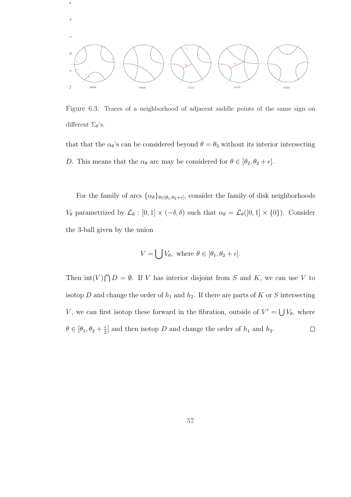

a

Figure 6.3: Traces of a neighborhood of adjacent saddle points of the same sign on different  $\Sigma_{\theta}$ 's.

that that the  $\alpha_{\theta}$ 's can be considered beyond  $\theta = \theta_3$  without its interior intersecting D. This means that the  $\alpha_{\theta}$  arc may be considered for  $\theta \in [\theta_2, \theta_2 + \epsilon]$ .

For the family of arcs  $\{\alpha_{\theta}\}_{\theta \in [\theta_1, \theta_2 + \epsilon]}$ , consider the family of disk neighborhoods  $V_{\theta}$  parametrized by  $\mathcal{L}_{\theta}$  :  $[0, 1] \times (-\delta, \delta)$  such that  $\alpha_{\theta} = \mathcal{L}_{\theta}([0, 1] \times \{0\})$ . Consider the 3-ball given by the union

$$
V = \bigcup V_{\theta}, \text{ where } \theta \in [\theta_1, \theta_2 + \epsilon].
$$

 $\overline{a}$ Then  $\mathrm{int}(V)$  $D = \emptyset$ . If V has interior disjoint from S and K, we can use V to isotop  $D$  and change the order of  $h_1$  and  $h_2$ . If there are parts of  $K$  or  $S$  intersecting V, we can first isotop these forward in the fibration, outside of  $V' = \bigcup$  $V_{\theta}$ , where  $\theta \in [\theta_1, \theta_2 + \frac{\epsilon}{2}]$  $\frac{\epsilon}{2}$  and then isotop D and change the order of  $h_1$  and  $h_2$ .  $\Box$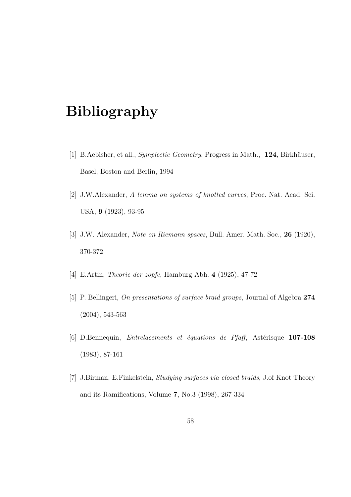## Bibliography

- [1] B.Aebisher, et all., *Symplectic Geometry*, Progress in Math., 124, Birkhäuser, Basel, Boston and Berlin, 1994
- [2] J.W.Alexander, A lemma on systems of knotted curves, Proc. Nat. Acad. Sci. USA, 9 (1923), 93-95
- [3] J.W. Alexander, Note on Riemann spaces, Bull. Amer. Math. Soc., 26 (1920), 370-372
- [4] E.Artin, Theorie der zopfe, Hamburg Abh. 4 (1925), 47-72
- [5] P. Bellingeri, On presentations of surface braid groups, Journal of Algebra 274 (2004), 543-563
- [6] D.Bennequin, *Entrelacements et équations de Pfaff*, Astérisque  $107-108$ (1983), 87-161
- [7] J.Birman, E.Finkelstein, Studying surfaces via closed braids, J.of Knot Theory and its Ramifications, Volume 7, No.3 (1998), 267-334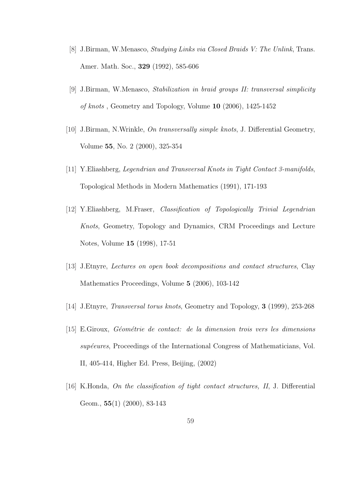- [8] J.Birman, W.Menasco, Studying Links via Closed Braids V: The Unlink, Trans. Amer. Math. Soc., 329 (1992), 585-606
- [9] J.Birman, W.Menasco, Stabilization in braid groups II: transversal simplicity of knots , Geometry and Topology, Volume 10 (2006), 1425-1452
- [10] J.Birman, N.Wrinkle, On transversally simple knots, J. Differential Geometry, Volume 55, No. 2 (2000), 325-354
- [11] Y.Eliashberg, Legendrian and Transversal Knots in Tight Contact 3-manifolds, Topological Methods in Modern Mathematics (1991), 171-193
- [12] Y.Eliashberg, M.Fraser, Classification of Topologically Trivial Legendrian Knots, Geometry, Topology and Dynamics, CRM Proceedings and Lecture Notes, Volume 15 (1998), 17-51
- [13] J.Etnyre, Lectures on open book decompositions and contact structures, Clay Mathematics Proceedings, Volume 5 (2006), 103-142
- [14] J.Etnyre, Transversal torus knots, Geometry and Topology, 3 (1999), 253-268
- [15] E.Giroux, Géométrie de contact: de la dimension trois vers les dimensions supéeures, Proceedings of the International Congress of Mathematicians, Vol. II, 405-414, Higher Ed. Press, Beijing, (2002)
- [16] K.Honda, On the classification of tight contact structures, II, J. Differential Geom., 55(1) (2000), 83-143